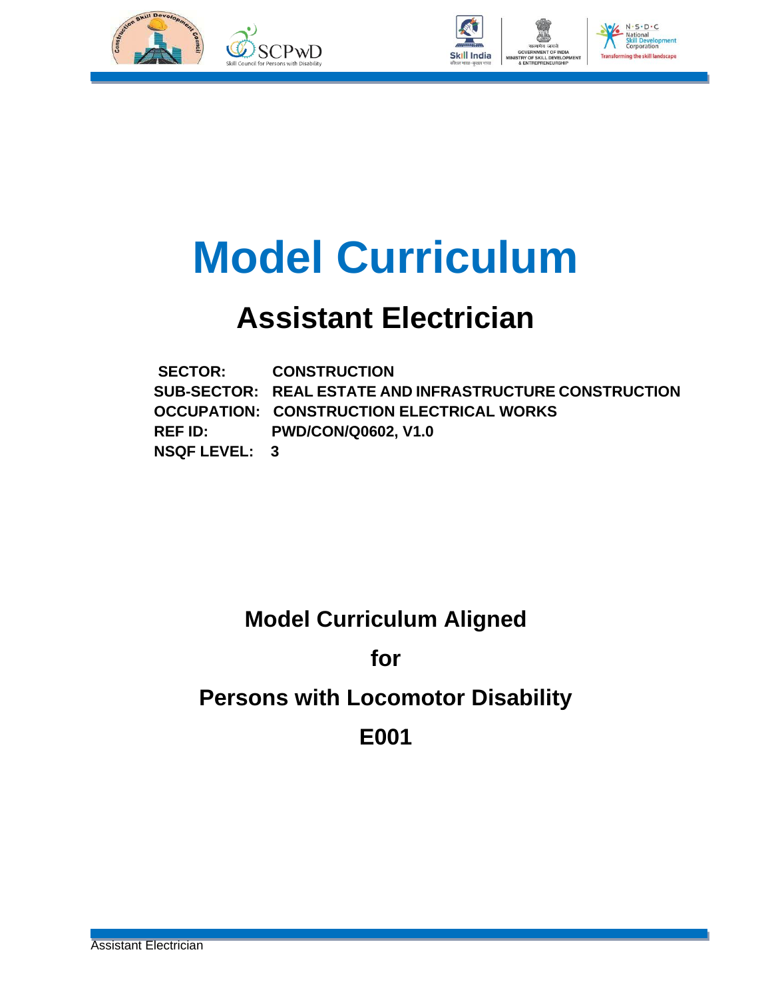



## **Model Curriculum**

## **Assistant Electrician**

 **SECTOR: CONSTRUCTION SUB-SECTOR: REAL ESTATE AND INFRASTRUCTURE CONSTRUCTION OCCUPATION: CONSTRUCTION ELECTRICAL WORKS REF ID: PWD/CON/Q0602, V1.0 NSQF LEVEL: 3**

### **Model Curriculum Aligned**

**for**

### **Persons with Locomotor Disability**

**E001**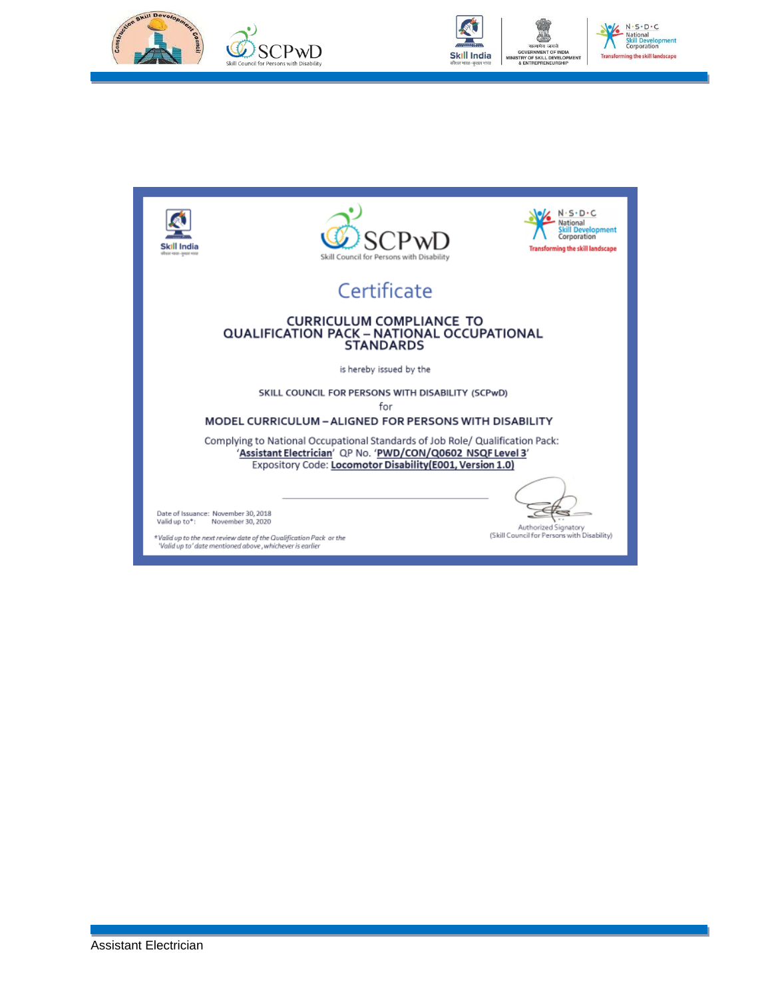





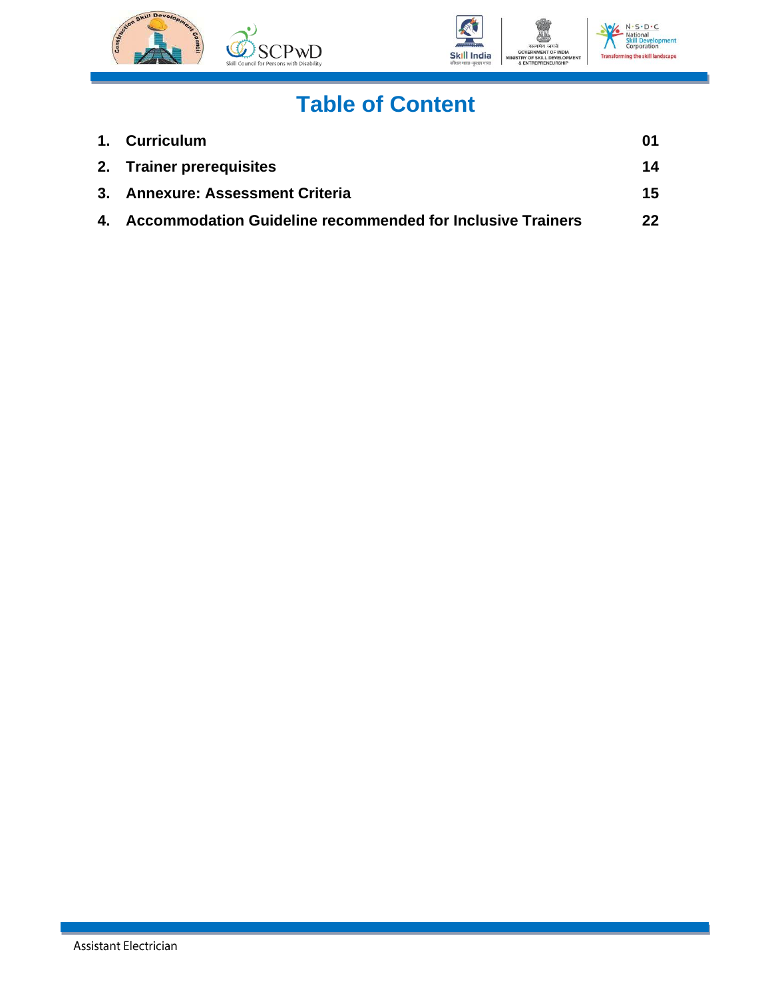



## **Table of Content**

| 1. Curriculum                                                 | 01 |
|---------------------------------------------------------------|----|
| 2. Trainer prerequisites                                      | 14 |
| 3. Annexure: Assessment Criteria                              | 15 |
| 4. Accommodation Guideline recommended for Inclusive Trainers | 22 |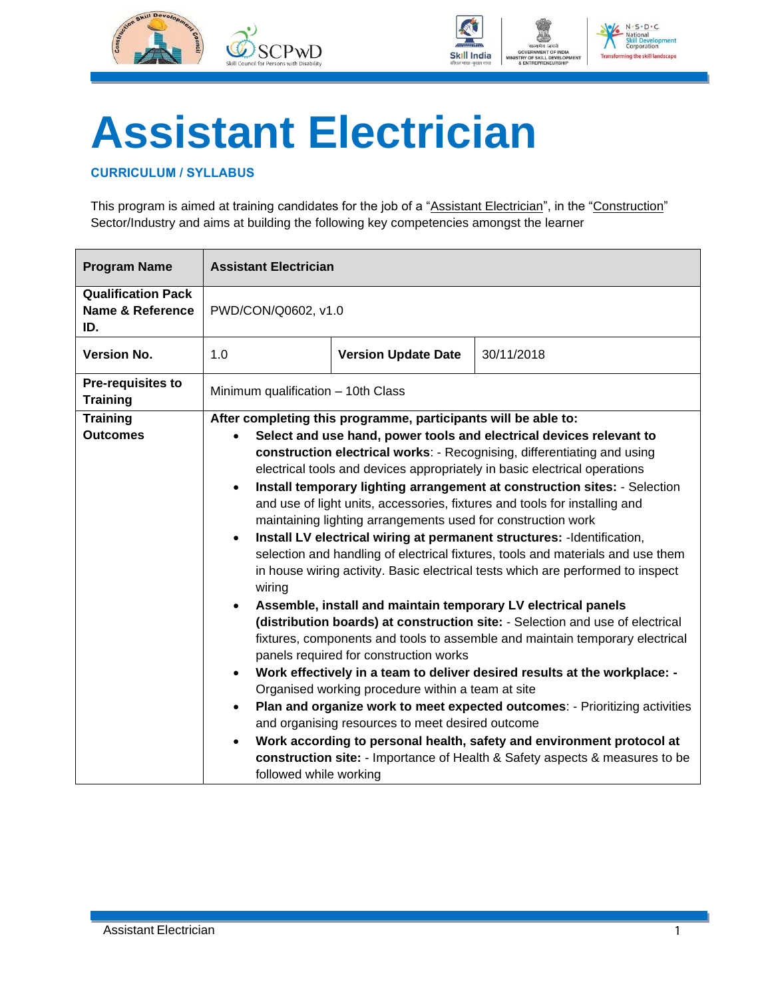



# **Assistant Electrician**

#### <span id="page-3-0"></span>**CURRICULUM / SYLLABUS**

This program is aimed at training candidates for the job of a "Assistant Electrician", in the "Construction" Sector/Industry and aims at building the following key competencies amongst the learner

| <b>Program Name</b>                                             | <b>Assistant Electrician</b>                                            |                                                                                                                                                                                                                                                                                                                                                                                                                                                                                                                                                                                                                                                                                                                                                                                                                                                                                                                                                                                                                                                                                                                                                                                                                                                                                                                                                                                                                                                                                                                                                    |  |
|-----------------------------------------------------------------|-------------------------------------------------------------------------|----------------------------------------------------------------------------------------------------------------------------------------------------------------------------------------------------------------------------------------------------------------------------------------------------------------------------------------------------------------------------------------------------------------------------------------------------------------------------------------------------------------------------------------------------------------------------------------------------------------------------------------------------------------------------------------------------------------------------------------------------------------------------------------------------------------------------------------------------------------------------------------------------------------------------------------------------------------------------------------------------------------------------------------------------------------------------------------------------------------------------------------------------------------------------------------------------------------------------------------------------------------------------------------------------------------------------------------------------------------------------------------------------------------------------------------------------------------------------------------------------------------------------------------------------|--|
| <b>Qualification Pack</b><br><b>Name &amp; Reference</b><br>ID. | PWD/CON/Q0602, v1.0                                                     |                                                                                                                                                                                                                                                                                                                                                                                                                                                                                                                                                                                                                                                                                                                                                                                                                                                                                                                                                                                                                                                                                                                                                                                                                                                                                                                                                                                                                                                                                                                                                    |  |
| <b>Version No.</b>                                              | 1.0                                                                     | 30/11/2018<br><b>Version Update Date</b>                                                                                                                                                                                                                                                                                                                                                                                                                                                                                                                                                                                                                                                                                                                                                                                                                                                                                                                                                                                                                                                                                                                                                                                                                                                                                                                                                                                                                                                                                                           |  |
| <b>Pre-requisites to</b><br><b>Training</b>                     |                                                                         |                                                                                                                                                                                                                                                                                                                                                                                                                                                                                                                                                                                                                                                                                                                                                                                                                                                                                                                                                                                                                                                                                                                                                                                                                                                                                                                                                                                                                                                                                                                                                    |  |
| <b>Training</b><br><b>Outcomes</b>                              | $\bullet$<br>$\bullet$<br>wiring<br>$\bullet$<br>$\bullet$<br>$\bullet$ | Minimum qualification - 10th Class<br>After completing this programme, participants will be able to:<br>Select and use hand, power tools and electrical devices relevant to<br>construction electrical works: - Recognising, differentiating and using<br>electrical tools and devices appropriately in basic electrical operations<br>Install temporary lighting arrangement at construction sites: - Selection<br>and use of light units, accessories, fixtures and tools for installing and<br>maintaining lighting arrangements used for construction work<br>Install LV electrical wiring at permanent structures: - Identification,<br>selection and handling of electrical fixtures, tools and materials and use them<br>in house wiring activity. Basic electrical tests which are performed to inspect<br>Assemble, install and maintain temporary LV electrical panels<br>(distribution boards) at construction site: - Selection and use of electrical<br>fixtures, components and tools to assemble and maintain temporary electrical<br>panels required for construction works<br>Work effectively in a team to deliver desired results at the workplace: -<br>Organised working procedure within a team at site<br>Plan and organize work to meet expected outcomes: - Prioritizing activities<br>and organising resources to meet desired outcome<br>Work according to personal health, safety and environment protocol at<br>construction site: - Importance of Health & Safety aspects & measures to be<br>followed while working |  |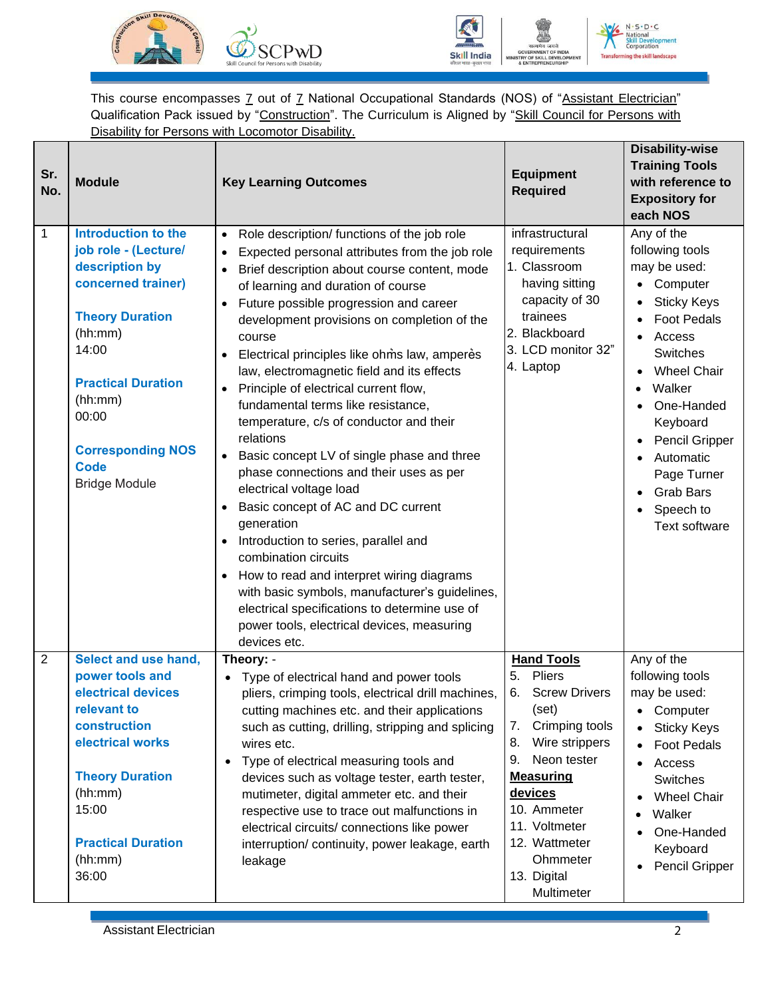



 $N \cdot S \cdot D \cdot C$ ning the skill landscape **Transfo** 

This course encompasses 7 out of 7 National Occupational Standards (NOS) of "Assistant Electrician" Qualification Pack issued by "Construction". The Curriculum is Aligned by "Skill Council for Persons with Disability for Persons with Locomotor Disability.

| Sr.<br>No.     | <b>Module</b>                                                                                                                                                                                                                                                | <b>Key Learning Outcomes</b>                                                                                                                                                                                                                                                                                                                                                                                                                                                                                                                                                                                                                                                                                                                                                                                                                                                                                                                                                                                                 | <b>Equipment</b><br><b>Required</b>                                                                                                                                                                                                                                    | <b>Disability-wise</b><br><b>Training Tools</b><br>with reference to<br><b>Expository for</b><br>each NOS                                                                                                                                                                                                        |
|----------------|--------------------------------------------------------------------------------------------------------------------------------------------------------------------------------------------------------------------------------------------------------------|------------------------------------------------------------------------------------------------------------------------------------------------------------------------------------------------------------------------------------------------------------------------------------------------------------------------------------------------------------------------------------------------------------------------------------------------------------------------------------------------------------------------------------------------------------------------------------------------------------------------------------------------------------------------------------------------------------------------------------------------------------------------------------------------------------------------------------------------------------------------------------------------------------------------------------------------------------------------------------------------------------------------------|------------------------------------------------------------------------------------------------------------------------------------------------------------------------------------------------------------------------------------------------------------------------|------------------------------------------------------------------------------------------------------------------------------------------------------------------------------------------------------------------------------------------------------------------------------------------------------------------|
| 1              | <b>Introduction to the</b><br>job role - (Lecture/<br>description by<br>concerned trainer)<br><b>Theory Duration</b><br>(hh:mm)<br>14:00<br><b>Practical Duration</b><br>(hh:mm)<br>00:00<br><b>Corresponding NOS</b><br><b>Code</b><br><b>Bridge Module</b> | • Role description/ functions of the job role<br>Expected personal attributes from the job role<br>Brief description about course content, mode<br>$\bullet$<br>of learning and duration of course<br>Future possible progression and career<br>development provisions on completion of the<br>course<br>Electrical principles like ohms law, amperes<br>law, electromagnetic field and its effects<br>• Principle of electrical current flow,<br>fundamental terms like resistance,<br>temperature, c/s of conductor and their<br>relations<br>Basic concept LV of single phase and three<br>$\bullet$<br>phase connections and their uses as per<br>electrical voltage load<br>Basic concept of AC and DC current<br>generation<br>Introduction to series, parallel and<br>$\bullet$<br>combination circuits<br>How to read and interpret wiring diagrams<br>with basic symbols, manufacturer's guidelines,<br>electrical specifications to determine use of<br>power tools, electrical devices, measuring<br>devices etc. | infrastructural<br>requirements<br>1. Classroom<br>having sitting<br>capacity of 30<br>trainees<br>2. Blackboard<br>3. LCD monitor 32"<br>4. Laptop                                                                                                                    | Any of the<br>following tools<br>may be used:<br>Computer<br>$\bullet$<br><b>Sticky Keys</b><br><b>Foot Pedals</b><br>Access<br><b>Switches</b><br><b>Wheel Chair</b><br>Walker<br>One-Handed<br>Keyboard<br>Pencil Gripper<br>Automatic<br>Page Turner<br><b>Grab Bars</b><br>Speech to<br><b>Text software</b> |
| $\overline{2}$ | Select and use hand,<br>power tools and<br>electrical devices<br>relevant to<br>construction<br>electrical works<br><b>Theory Duration</b><br>(hh:mm)<br>15:00<br><b>Practical Duration</b><br>(hh:mm)<br>36:00                                              | Theory: -<br>• Type of electrical hand and power tools<br>pliers, crimping tools, electrical drill machines,<br>cutting machines etc. and their applications<br>such as cutting, drilling, stripping and splicing<br>wires etc.<br>Type of electrical measuring tools and<br>$\bullet$<br>devices such as voltage tester, earth tester,<br>mutimeter, digital ammeter etc. and their<br>respective use to trace out malfunctions in<br>electrical circuits/ connections like power<br>interruption/ continuity, power leakage, earth<br>leakage                                                                                                                                                                                                                                                                                                                                                                                                                                                                              | <b>Hand Tools</b><br>5.<br>Pliers<br><b>Screw Drivers</b><br>6.<br>(set)<br>7.<br>Crimping tools<br>8.<br>Wire strippers<br>Neon tester<br>9.<br><b>Measuring</b><br>devices<br>10. Ammeter<br>11. Voltmeter<br>12. Wattmeter<br>Ohmmeter<br>13. Digital<br>Multimeter | Any of the<br>following tools<br>may be used:<br>Computer<br><b>Sticky Keys</b><br><b>Foot Pedals</b><br>Access<br>$\bullet$<br>Switches<br><b>Wheel Chair</b><br>Walker<br>One-Handed<br>Keyboard<br>Pencil Gripper                                                                                             |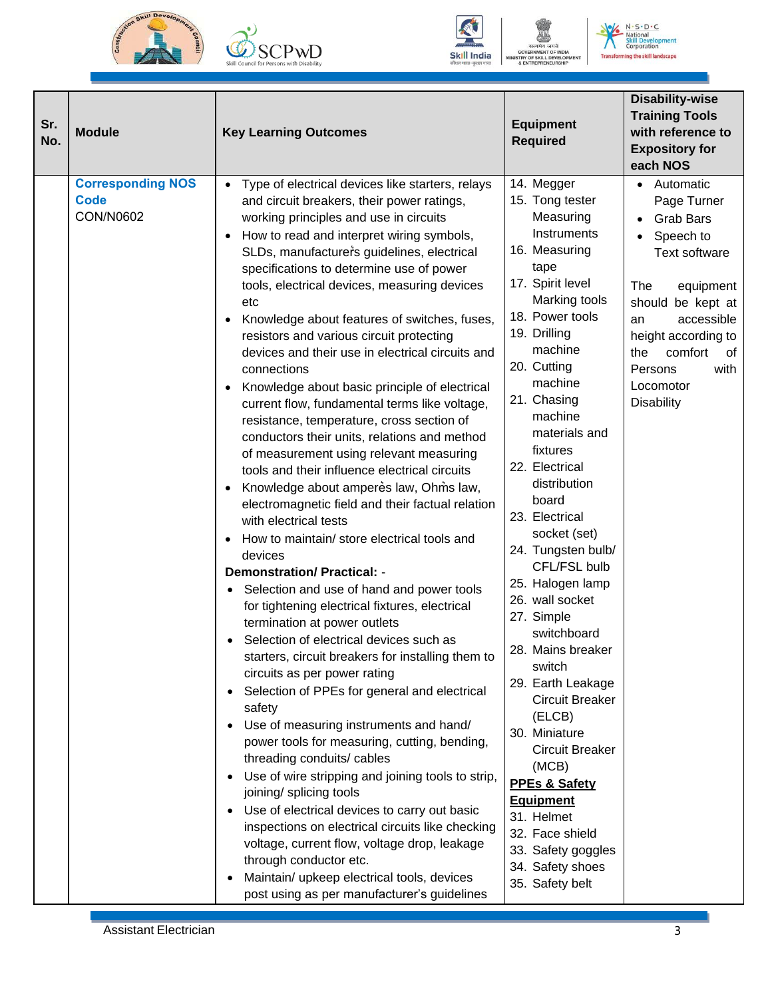







 $N \cdot S \cdot D \cdot C$ **N** • **S** • **D** •<br> **National**<br> **Skill Deve**<br> **Corporation** ai<br>eveloj<br>ration ent **Transforming the skill landscape** 

| Sr.<br>No. | <b>Module</b>                                               | <b>Key Learning Outcomes</b>                                                                                                                                                                                                                                                                                                                                                                                                                                                                                                                                                                                                                                                                                                                                                                                                                                                                                                                                                                                                                                                                                                                                                                                                                                                                                                                                                                                                                                                                                                                                                                                                                                                                                                                                                                                                                                                            | <b>Equipment</b><br><b>Required</b>                                                                                                                                                                                                                                                                                                                                                                                                                                                                                                                                                                                                                                                                                       | <b>Disability-wise</b><br><b>Training Tools</b><br>with reference to<br><b>Expository for</b><br>each NOS                                                                                                                                       |
|------------|-------------------------------------------------------------|-----------------------------------------------------------------------------------------------------------------------------------------------------------------------------------------------------------------------------------------------------------------------------------------------------------------------------------------------------------------------------------------------------------------------------------------------------------------------------------------------------------------------------------------------------------------------------------------------------------------------------------------------------------------------------------------------------------------------------------------------------------------------------------------------------------------------------------------------------------------------------------------------------------------------------------------------------------------------------------------------------------------------------------------------------------------------------------------------------------------------------------------------------------------------------------------------------------------------------------------------------------------------------------------------------------------------------------------------------------------------------------------------------------------------------------------------------------------------------------------------------------------------------------------------------------------------------------------------------------------------------------------------------------------------------------------------------------------------------------------------------------------------------------------------------------------------------------------------------------------------------------------|---------------------------------------------------------------------------------------------------------------------------------------------------------------------------------------------------------------------------------------------------------------------------------------------------------------------------------------------------------------------------------------------------------------------------------------------------------------------------------------------------------------------------------------------------------------------------------------------------------------------------------------------------------------------------------------------------------------------------|-------------------------------------------------------------------------------------------------------------------------------------------------------------------------------------------------------------------------------------------------|
|            | <b>Corresponding NOS</b><br><b>Code</b><br><b>CON/N0602</b> | Type of electrical devices like starters, relays<br>$\bullet$<br>and circuit breakers, their power ratings,<br>working principles and use in circuits<br>How to read and interpret wiring symbols,<br>$\bullet$<br>SLDs, manufacturers guidelines, electrical<br>specifications to determine use of power<br>tools, electrical devices, measuring devices<br>etc<br>Knowledge about features of switches, fuses,<br>resistors and various circuit protecting<br>devices and their use in electrical circuits and<br>connections<br>Knowledge about basic principle of electrical<br>$\bullet$<br>current flow, fundamental terms like voltage,<br>resistance, temperature, cross section of<br>conductors their units, relations and method<br>of measurement using relevant measuring<br>tools and their influence electrical circuits<br>Knowledge about amperes law, Ohms law,<br>electromagnetic field and their factual relation<br>with electrical tests<br>How to maintain/ store electrical tools and<br>devices<br><b>Demonstration/ Practical: -</b><br>Selection and use of hand and power tools<br>for tightening electrical fixtures, electrical<br>termination at power outlets<br>Selection of electrical devices such as<br>starters, circuit breakers for installing them to<br>circuits as per power rating<br>Selection of PPEs for general and electrical<br>safety<br>Use of measuring instruments and hand/<br>$\bullet$<br>power tools for measuring, cutting, bending,<br>threading conduits/ cables<br>Use of wire stripping and joining tools to strip,<br>joining/ splicing tools<br>Use of electrical devices to carry out basic<br>inspections on electrical circuits like checking<br>voltage, current flow, voltage drop, leakage<br>through conductor etc.<br>Maintain/ upkeep electrical tools, devices<br>post using as per manufacturer's guidelines | 14. Megger<br>15. Tong tester<br>Measuring<br>Instruments<br>16. Measuring<br>tape<br>17. Spirit level<br>Marking tools<br>18. Power tools<br>19. Drilling<br>machine<br>20. Cutting<br>machine<br>21. Chasing<br>machine<br>materials and<br>fixtures<br>22. Electrical<br>distribution<br>board<br>23. Electrical<br>socket (set)<br>24. Tungsten bulb/<br>CFL/FSL bulb<br>25. Halogen lamp<br>26. wall socket<br>27. Simple<br>switchboard<br>28. Mains breaker<br>switch<br>29. Earth Leakage<br>Circuit Breaker<br>(ELCB)<br>30. Miniature<br>Circuit Breaker<br>(MCB)<br><b>PPEs &amp; Safety</b><br><b>Equipment</b><br>31. Helmet<br>32. Face shield<br>33. Safety goggles<br>34. Safety shoes<br>35. Safety belt | • Automatic<br>Page Turner<br><b>Grab Bars</b><br>• Speech to<br>Text software<br>The<br>equipment<br>should be kept at<br>accessible<br>an<br>height according to<br>comfort<br>the<br>of<br>Persons<br>with<br>Locomotor<br><b>Disability</b> |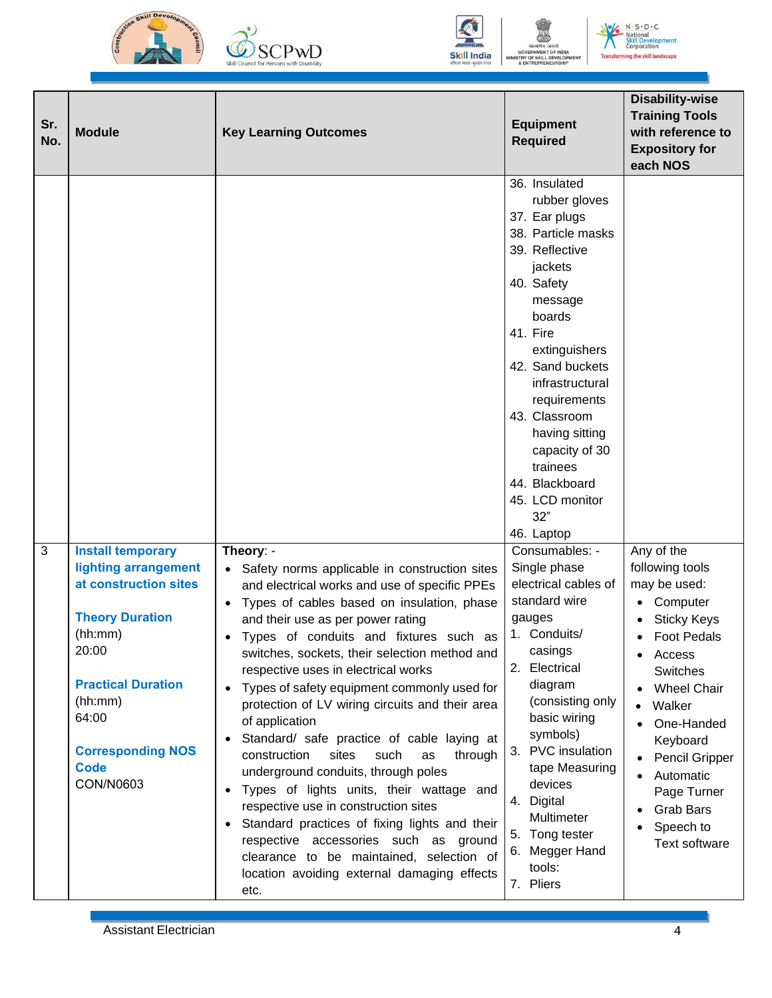





**JENT OF** L DEVELO **AENT** 

 $N \cdot S \cdot D \cdot C$ **National<br>Skill Develop<br>Corporation** ent Transforming the skill landscape

| Sr.<br>No. | <b>Module</b>                                                                                                                                                                                                                    | <b>Key Learning Outcomes</b>                                                                                                                                                                                                                                                                                                                                                                                                                                                                                                                                                                                                                                                                                                                                                                                                                                                                                        | <b>Equipment</b><br><b>Required</b>                                                                                                                                                                                                                                                                                                                                                                                                                                                                                                                                                                                                                                                          | <b>Disability-wise</b><br><b>Training Tools</b><br>with reference to<br><b>Expository for</b><br>each NOS                                                                                                                                                                                           |
|------------|----------------------------------------------------------------------------------------------------------------------------------------------------------------------------------------------------------------------------------|---------------------------------------------------------------------------------------------------------------------------------------------------------------------------------------------------------------------------------------------------------------------------------------------------------------------------------------------------------------------------------------------------------------------------------------------------------------------------------------------------------------------------------------------------------------------------------------------------------------------------------------------------------------------------------------------------------------------------------------------------------------------------------------------------------------------------------------------------------------------------------------------------------------------|----------------------------------------------------------------------------------------------------------------------------------------------------------------------------------------------------------------------------------------------------------------------------------------------------------------------------------------------------------------------------------------------------------------------------------------------------------------------------------------------------------------------------------------------------------------------------------------------------------------------------------------------------------------------------------------------|-----------------------------------------------------------------------------------------------------------------------------------------------------------------------------------------------------------------------------------------------------------------------------------------------------|
| 3          | <b>Install temporary</b><br>lighting arrangement<br>at construction sites<br><b>Theory Duration</b><br>(hh:mm)<br>20:00<br><b>Practical Duration</b><br>(hh:mm)<br>64:00<br><b>Corresponding NOS</b><br><b>Code</b><br>CON/N0603 | Theory: -<br>Safety norms applicable in construction sites<br>and electrical works and use of specific PPEs<br>Types of cables based on insulation, phase<br>and their use as per power rating<br>Types of conduits and fixtures such as<br>switches, sockets, their selection method and<br>respective uses in electrical works<br>Types of safety equipment commonly used for<br>$\bullet$<br>protection of LV wiring circuits and their area<br>of application<br>Standard/ safe practice of cable laying at<br>$\bullet$<br>such<br>construction<br>sites<br>through<br>as<br>underground conduits, through poles<br>Types of lights units, their wattage and<br>$\bullet$<br>respective use in construction sites<br>Standard practices of fixing lights and their<br>respective accessories such as ground<br>clearance to be maintained, selection of<br>location avoiding external damaging effects<br>etc. | 36. Insulated<br>rubber gloves<br>37. Ear plugs<br>38. Particle masks<br>39. Reflective<br>jackets<br>40. Safety<br>message<br>boards<br>41. Fire<br>extinguishers<br>42. Sand buckets<br>infrastructural<br>requirements<br>43. Classroom<br>having sitting<br>capacity of 30<br>trainees<br>44. Blackboard<br>45. LCD monitor<br>32"<br>46. Laptop<br>Consumables: -<br>Single phase<br>electrical cables of<br>standard wire<br>gauges<br>1. Conduits/<br>casings<br>2. Electrical<br>diagram<br>(consisting only<br>basic wiring<br>symbols)<br>PVC insulation<br>3.<br>tape Measuring<br>devices<br>4. Digital<br>Multimeter<br>5. Tong tester<br>6. Megger Hand<br>tools:<br>7. Pliers | Any of the<br>following tools<br>may be used:<br>Computer<br><b>Sticky Keys</b><br><b>Foot Pedals</b><br>Access<br>Switches<br><b>Wheel Chair</b><br>Walker<br>One-Handed<br>Keyboard<br><b>Pencil Gripper</b><br>Automatic<br>Page Turner<br><b>Grab Bars</b><br>Speech to<br><b>Text software</b> |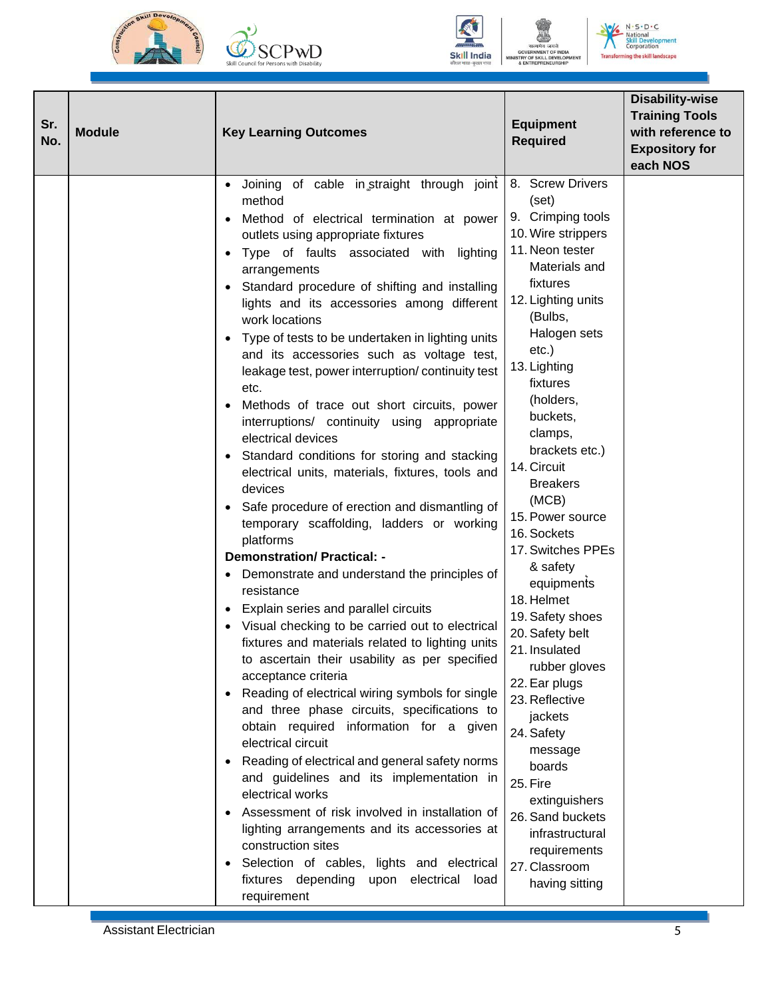





 $N \cdot S \cdot D \cdot C$ nal ent č. **Transfo** ming the skill landscape

| Sr.<br>No. | <b>Module</b> | <b>Key Learning Outcomes</b>                                                                                                                                                                                                                                                                                                                                                                                                                                                                                                                                                                                                                                                                                                                                                                                                                                                                                                                                                                                                                                                                                                                                                                                                                                                                                                                                                                                                                                                                                                                                                                                                                                                                                                                                  | <b>Equipment</b><br><b>Required</b>                                                                                                                                                                                                                                                                                                                                                                                                                                                                                                                                                                                                                                                             | <b>Disability-wise</b><br><b>Training Tools</b><br>with reference to<br><b>Expository for</b><br>each NOS |
|------------|---------------|---------------------------------------------------------------------------------------------------------------------------------------------------------------------------------------------------------------------------------------------------------------------------------------------------------------------------------------------------------------------------------------------------------------------------------------------------------------------------------------------------------------------------------------------------------------------------------------------------------------------------------------------------------------------------------------------------------------------------------------------------------------------------------------------------------------------------------------------------------------------------------------------------------------------------------------------------------------------------------------------------------------------------------------------------------------------------------------------------------------------------------------------------------------------------------------------------------------------------------------------------------------------------------------------------------------------------------------------------------------------------------------------------------------------------------------------------------------------------------------------------------------------------------------------------------------------------------------------------------------------------------------------------------------------------------------------------------------------------------------------------------------|-------------------------------------------------------------------------------------------------------------------------------------------------------------------------------------------------------------------------------------------------------------------------------------------------------------------------------------------------------------------------------------------------------------------------------------------------------------------------------------------------------------------------------------------------------------------------------------------------------------------------------------------------------------------------------------------------|-----------------------------------------------------------------------------------------------------------|
|            |               | Joining of cable in straight through joint<br>method<br>Method of electrical termination at power<br>$\bullet$<br>outlets using appropriate fixtures<br>Type of faults associated with lighting<br>$\bullet$<br>arrangements<br>• Standard procedure of shifting and installing<br>lights and its accessories among different<br>work locations<br>Type of tests to be undertaken in lighting units<br>$\bullet$<br>and its accessories such as voltage test,<br>leakage test, power interruption/continuity test<br>etc.<br>Methods of trace out short circuits, power<br>interruptions/ continuity using appropriate<br>electrical devices<br>Standard conditions for storing and stacking<br>electrical units, materials, fixtures, tools and<br>devices<br>Safe procedure of erection and dismantling of<br>$\bullet$<br>temporary scaffolding, ladders or working<br>platforms<br><b>Demonstration/ Practical: -</b><br>Demonstrate and understand the principles of<br>resistance<br>Explain series and parallel circuits<br>Visual checking to be carried out to electrical<br>fixtures and materials related to lighting units<br>to ascertain their usability as per specified<br>acceptance criteria<br>Reading of electrical wiring symbols for single<br>$\bullet$<br>and three phase circuits, specifications to<br>obtain required information for a given<br>electrical circuit<br>Reading of electrical and general safety norms<br>$\bullet$<br>and guidelines and its implementation in<br>electrical works<br>Assessment of risk involved in installation of<br>lighting arrangements and its accessories at<br>construction sites<br>Selection of cables, lights and electrical<br>fixtures depending upon electrical load<br>requirement | 8. Screw Drivers<br>(set)<br>9. Crimping tools<br>10. Wire strippers<br>11. Neon tester<br>Materials and<br>fixtures<br>12. Lighting units<br>(Bulbs,<br>Halogen sets<br>$etc.$ )<br>13. Lighting<br>fixtures<br>(holders,<br>buckets,<br>clamps,<br>brackets etc.)<br>14. Circuit<br><b>Breakers</b><br>(MCB)<br>15. Power source<br>16. Sockets<br>17. Switches PPEs<br>& safety<br>equipments<br>18. Helmet<br>19. Safety shoes<br>20. Safety belt<br>21. Insulated<br>rubber gloves<br>22. Ear plugs<br>23. Reflective<br>jackets<br>24. Safety<br>message<br>boards<br>25. Fire<br>extinguishers<br>26. Sand buckets<br>infrastructural<br>requirements<br>27. Classroom<br>having sitting |                                                                                                           |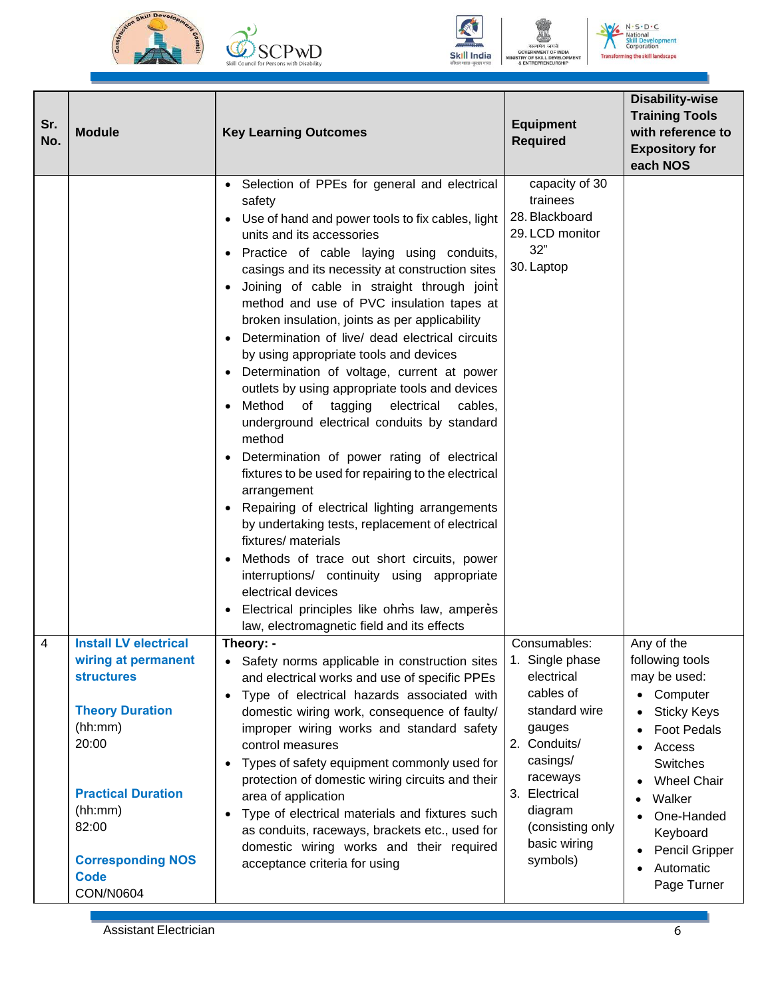





 $N \cdot S \cdot D \cdot C$ **N** • **S** • **D** •<br> **National**<br> **Skill Deve**<br> **Corporation** ai<br>eveloj<br>ration ent **Transforming the skill landscape** 

| Sr.<br>No. | <b>Module</b>                                                                                                                                                                                                                          | <b>Key Learning Outcomes</b>                                                                                                                                                                                                                                                                                                                                                                                                                                                                                                                                                                                                                                                                                                                                                                                                                                                                                                                                                                                                                                                                                                                                                | <b>Equipment</b><br><b>Required</b>                                                                                                                                                                       | <b>Disability-wise</b><br><b>Training Tools</b><br>with reference to<br><b>Expository for</b><br>each NOS                                                                                                                             |
|------------|----------------------------------------------------------------------------------------------------------------------------------------------------------------------------------------------------------------------------------------|-----------------------------------------------------------------------------------------------------------------------------------------------------------------------------------------------------------------------------------------------------------------------------------------------------------------------------------------------------------------------------------------------------------------------------------------------------------------------------------------------------------------------------------------------------------------------------------------------------------------------------------------------------------------------------------------------------------------------------------------------------------------------------------------------------------------------------------------------------------------------------------------------------------------------------------------------------------------------------------------------------------------------------------------------------------------------------------------------------------------------------------------------------------------------------|-----------------------------------------------------------------------------------------------------------------------------------------------------------------------------------------------------------|---------------------------------------------------------------------------------------------------------------------------------------------------------------------------------------------------------------------------------------|
|            |                                                                                                                                                                                                                                        | Selection of PPEs for general and electrical<br>safety<br>Use of hand and power tools to fix cables, light<br>units and its accessories<br>Practice of cable laying using conduits,<br>casings and its necessity at construction sites<br>Joining of cable in straight through joint<br>method and use of PVC insulation tapes at<br>broken insulation, joints as per applicability<br>Determination of live/ dead electrical circuits<br>$\bullet$<br>by using appropriate tools and devices<br>Determination of voltage, current at power<br>outlets by using appropriate tools and devices<br>Method<br>of<br>tagging<br>electrical<br>cables,<br>underground electrical conduits by standard<br>method<br>Determination of power rating of electrical<br>fixtures to be used for repairing to the electrical<br>arrangement<br>Repairing of electrical lighting arrangements<br>by undertaking tests, replacement of electrical<br>fixtures/ materials<br>Methods of trace out short circuits, power<br>interruptions/ continuity using appropriate<br>electrical devices<br>Electrical principles like ohms law, amperes<br>law, electromagnetic field and its effects | capacity of 30<br>trainees<br>28. Blackboard<br>29. LCD monitor<br>32"<br>30. Laptop                                                                                                                      |                                                                                                                                                                                                                                       |
| 4          | <b>Install LV electrical</b><br>wiring at permanent<br><b>structures</b><br><b>Theory Duration</b><br>(hh:mm)<br>20:00<br><b>Practical Duration</b><br>(hh:mm)<br>82:00<br><b>Corresponding NOS</b><br><b>Code</b><br><b>CON/N0604</b> | Theory: -<br>Safety norms applicable in construction sites<br>$\bullet$<br>and electrical works and use of specific PPEs<br>Type of electrical hazards associated with<br>$\bullet$<br>domestic wiring work, consequence of faulty/<br>improper wiring works and standard safety<br>control measures<br>Types of safety equipment commonly used for<br>$\bullet$<br>protection of domestic wiring circuits and their<br>area of application<br>Type of electrical materials and fixtures such<br>$\bullet$<br>as conduits, raceways, brackets etc., used for<br>domestic wiring works and their required<br>acceptance criteria for using                                                                                                                                                                                                                                                                                                                                                                                                                                                                                                                                   | Consumables:<br>1. Single phase<br>electrical<br>cables of<br>standard wire<br>gauges<br>2. Conduits/<br>casings/<br>raceways<br>3. Electrical<br>diagram<br>(consisting only<br>basic wiring<br>symbols) | Any of the<br>following tools<br>may be used:<br>• Computer<br><b>Sticky Keys</b><br><b>Foot Pedals</b><br>Access<br>Switches<br><b>Wheel Chair</b><br>Walker<br>One-Handed<br>Keyboard<br>Pencil Gripper<br>Automatic<br>Page Turner |

Assistant Electrician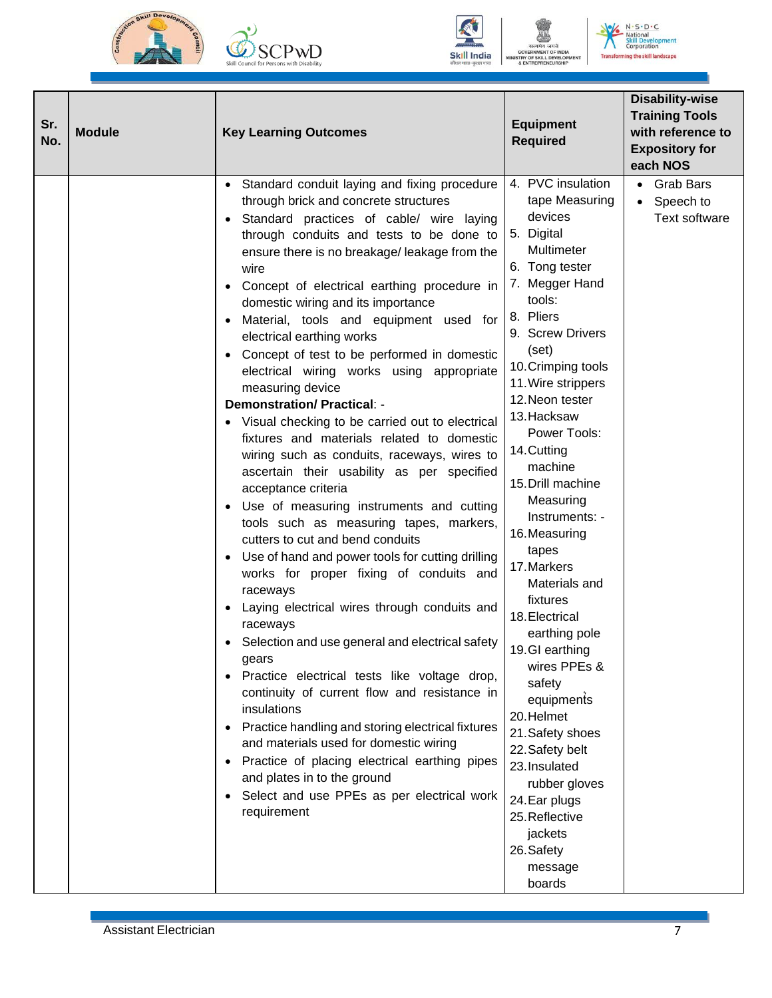







 $N \cdot S \cdot D \cdot C$ **National<br>Skill Develop<br>Corporation** ent **Transforming the skill landscape** 

| Sr.<br>No. | <b>Module</b> | <b>Key Learning Outcomes</b>                                                                                                                                                                                                                                                                                                                                                                                                                                                                                                                                                                                                                                                                                                                                                                                                                                                                                                                                                                                                                                                                                                                                                                                                                                                                                                                                                                                                                                                                                                                                                                            | <b>Equipment</b><br><b>Required</b>                                                                                                                                                                                                                                                                                                                                                                                                                                                                                                                                                                                                                                                      | <b>Disability-wise</b><br><b>Training Tools</b><br>with reference to<br><b>Expository for</b><br>each NOS |
|------------|---------------|---------------------------------------------------------------------------------------------------------------------------------------------------------------------------------------------------------------------------------------------------------------------------------------------------------------------------------------------------------------------------------------------------------------------------------------------------------------------------------------------------------------------------------------------------------------------------------------------------------------------------------------------------------------------------------------------------------------------------------------------------------------------------------------------------------------------------------------------------------------------------------------------------------------------------------------------------------------------------------------------------------------------------------------------------------------------------------------------------------------------------------------------------------------------------------------------------------------------------------------------------------------------------------------------------------------------------------------------------------------------------------------------------------------------------------------------------------------------------------------------------------------------------------------------------------------------------------------------------------|------------------------------------------------------------------------------------------------------------------------------------------------------------------------------------------------------------------------------------------------------------------------------------------------------------------------------------------------------------------------------------------------------------------------------------------------------------------------------------------------------------------------------------------------------------------------------------------------------------------------------------------------------------------------------------------|-----------------------------------------------------------------------------------------------------------|
|            |               | Standard conduit laying and fixing procedure<br>$\bullet$<br>through brick and concrete structures<br>Standard practices of cable/ wire laying<br>$\bullet$<br>through conduits and tests to be done to<br>ensure there is no breakage/ leakage from the<br>wire<br>Concept of electrical earthing procedure in<br>$\bullet$<br>domestic wiring and its importance<br>Material, tools and equipment used for<br>$\bullet$<br>electrical earthing works<br>Concept of test to be performed in domestic<br>$\bullet$<br>electrical wiring works using appropriate<br>measuring device<br><b>Demonstration/ Practical: -</b><br>• Visual checking to be carried out to electrical<br>fixtures and materials related to domestic<br>wiring such as conduits, raceways, wires to<br>ascertain their usability as per specified<br>acceptance criteria<br>• Use of measuring instruments and cutting<br>tools such as measuring tapes, markers,<br>cutters to cut and bend conduits<br>• Use of hand and power tools for cutting drilling<br>works for proper fixing of conduits and<br>raceways<br>Laying electrical wires through conduits and<br>$\bullet$<br>raceways<br>Selection and use general and electrical safety<br>gears<br>Practice electrical tests like voltage drop,<br>$\bullet$<br>continuity of current flow and resistance in<br>insulations<br>Practice handling and storing electrical fixtures<br>and materials used for domestic wiring<br>Practice of placing electrical earthing pipes<br>and plates in to the ground<br>Select and use PPEs as per electrical work<br>requirement | 4. PVC insulation<br>tape Measuring<br>devices<br>5. Digital<br>Multimeter<br>6. Tong tester<br>7. Megger Hand<br>tools:<br>8. Pliers<br>9. Screw Drivers<br>(set)<br>10. Crimping tools<br>11. Wire strippers<br>12. Neon tester<br>13. Hacksaw<br>Power Tools:<br>14. Cutting<br>machine<br>15. Drill machine<br>Measuring<br>Instruments: -<br>16. Measuring<br>tapes<br>17. Markers<br>Materials and<br>fixtures<br>18. Electrical<br>earthing pole<br>19.GI earthing<br>wires PPEs &<br>safety<br>equipments<br>20.Helmet<br>21. Safety shoes<br>22. Safety belt<br>23. Insulated<br>rubber gloves<br>24. Ear plugs<br>25. Reflective<br>jackets<br>26. Safety<br>message<br>boards | • Grab Bars<br>Speech to<br>$\bullet$<br><b>Text software</b>                                             |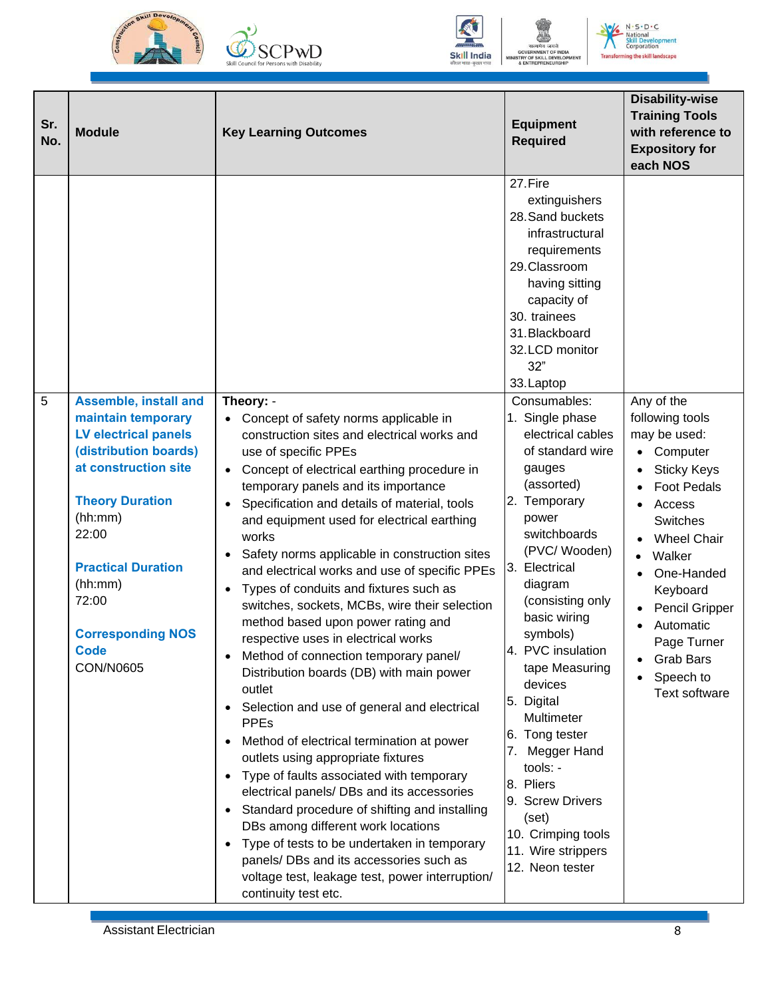





DEVE **AENT** 

 $N \cdot S \cdot D \cdot C$ National<br>**Skill Develop**<br>Corporation ent **Transforming the skill landscape** 

| Sr.<br>No. | <b>Module</b>                                                                                                                                                                                                                                                                      | <b>Key Learning Outcomes</b>                                                                                                                                                                                                                                                                                                                                                                                                                                                                                                                                                                                                                                                                                                                                                                                                                                                                                                                                                                                                                                                                                                                                                                                                                                                         | <b>Equipment</b><br><b>Required</b>                                                                                                                                                                                                                                                                                                                                                                                                                                                                                                                                                                                                                                                          | <b>Disability-wise</b><br><b>Training Tools</b><br>with reference to<br><b>Expository for</b><br>each NOS                                                                                                                                                                                                       |
|------------|------------------------------------------------------------------------------------------------------------------------------------------------------------------------------------------------------------------------------------------------------------------------------------|--------------------------------------------------------------------------------------------------------------------------------------------------------------------------------------------------------------------------------------------------------------------------------------------------------------------------------------------------------------------------------------------------------------------------------------------------------------------------------------------------------------------------------------------------------------------------------------------------------------------------------------------------------------------------------------------------------------------------------------------------------------------------------------------------------------------------------------------------------------------------------------------------------------------------------------------------------------------------------------------------------------------------------------------------------------------------------------------------------------------------------------------------------------------------------------------------------------------------------------------------------------------------------------|----------------------------------------------------------------------------------------------------------------------------------------------------------------------------------------------------------------------------------------------------------------------------------------------------------------------------------------------------------------------------------------------------------------------------------------------------------------------------------------------------------------------------------------------------------------------------------------------------------------------------------------------------------------------------------------------|-----------------------------------------------------------------------------------------------------------------------------------------------------------------------------------------------------------------------------------------------------------------------------------------------------------------|
| 5          | <b>Assemble, install and</b><br>maintain temporary<br><b>LV electrical panels</b><br>(distribution boards)<br>at construction site<br><b>Theory Duration</b><br>(hh:mm)<br>22:00<br><b>Practical Duration</b><br>(hh:mm)<br>72:00<br><b>Corresponding NOS</b><br>Code<br>CON/N0605 | Theory: -<br>Concept of safety norms applicable in<br>construction sites and electrical works and<br>use of specific PPEs<br>Concept of electrical earthing procedure in<br>$\bullet$<br>temporary panels and its importance<br>Specification and details of material, tools<br>$\bullet$<br>and equipment used for electrical earthing<br>works<br>Safety norms applicable in construction sites<br>and electrical works and use of specific PPEs<br>Types of conduits and fixtures such as<br>$\bullet$<br>switches, sockets, MCBs, wire their selection<br>method based upon power rating and<br>respective uses in electrical works<br>Method of connection temporary panel/<br>Distribution boards (DB) with main power<br>outlet<br>Selection and use of general and electrical<br><b>PPEs</b><br>Method of electrical termination at power<br>outlets using appropriate fixtures<br>Type of faults associated with temporary<br>$\bullet$<br>electrical panels/ DBs and its accessories<br>Standard procedure of shifting and installing<br>$\bullet$<br>DBs among different work locations<br>Type of tests to be undertaken in temporary<br>$\bullet$<br>panels/ DBs and its accessories such as<br>voltage test, leakage test, power interruption/<br>continuity test etc. | 27.Fire<br>extinguishers<br>28. Sand buckets<br>infrastructural<br>requirements<br>29.Classroom<br>having sitting<br>capacity of<br>30. trainees<br>31. Blackboard<br>32.LCD monitor<br>32"<br>33. Laptop<br>Consumables:<br>1. Single phase<br>electrical cables<br>of standard wire<br>gauges<br>(assorted)<br>2. Temporary<br>power<br>switchboards<br>(PVC/Wooden)<br>3. Electrical<br>diagram<br>(consisting only<br>basic wiring<br>symbols)<br>4. PVC insulation<br>tape Measuring<br>devices<br>5. Digital<br>Multimeter<br>6. Tong tester<br>Megger Hand<br>7.<br>tools: -<br>8. Pliers<br>9. Screw Drivers<br>(set)<br>10. Crimping tools<br>11. Wire strippers<br>12. Neon tester | Any of the<br>following tools<br>may be used:<br>Computer<br>$\bullet$<br><b>Sticky Keys</b><br><b>Foot Pedals</b><br>Access<br>Switches<br><b>Wheel Chair</b><br>Walker<br>$\bullet$<br>One-Handed<br>Keyboard<br>Pencil Gripper<br>Automatic<br>Page Turner<br>Grab Bars<br>Speech to<br><b>Text software</b> |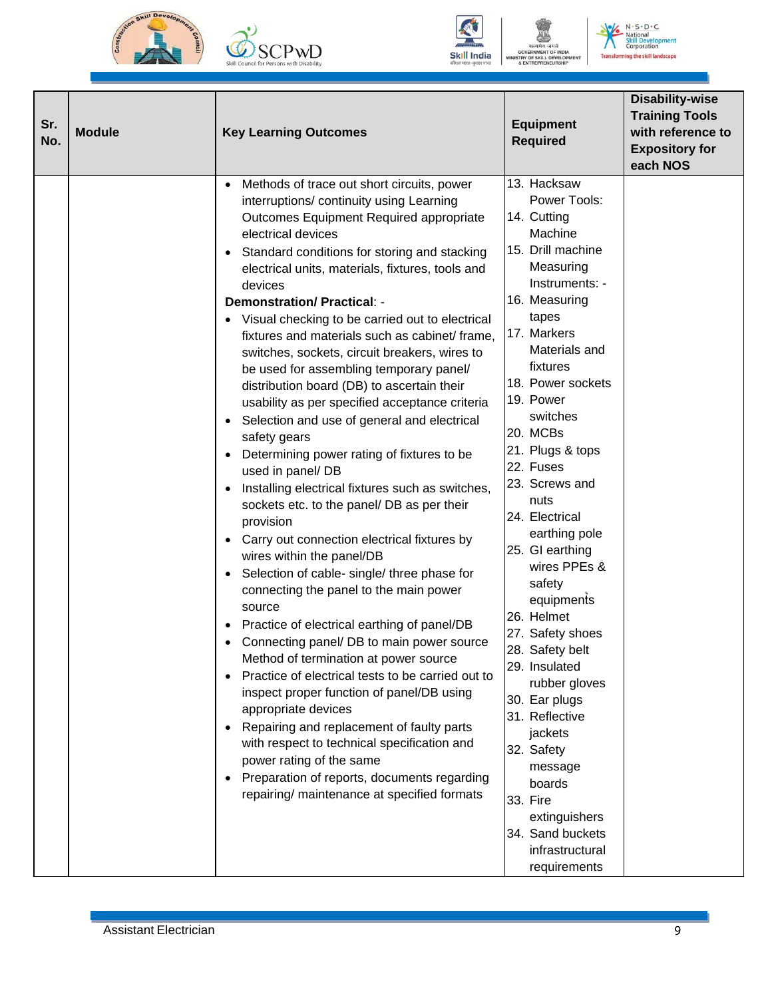







 $N \cdot S \cdot D \cdot C$ **National<br>Skill Development** al<br>levelop<br>ration ent **Transforming the skill landscape** 

| Sr.<br>No. | <b>Module</b> | <b>Key Learning Outcomes</b>                                                                                                                                                                                                                                                                                                                                                                                                                                                                                                                                                                                                                                                                                                                                                                                                                                                                                                                                                                                                                                                                                                                                                                                                                                                                                                                                                                                                                                                                                                                                                                                                 | <b>Equipment</b><br><b>Required</b>                                                                                                                                                                                                                                                                                                                                                                                                                                                                                                                                                                                                                            | <b>Disability-wise</b><br><b>Training Tools</b><br>with reference to<br><b>Expository for</b><br>each NOS |
|------------|---------------|------------------------------------------------------------------------------------------------------------------------------------------------------------------------------------------------------------------------------------------------------------------------------------------------------------------------------------------------------------------------------------------------------------------------------------------------------------------------------------------------------------------------------------------------------------------------------------------------------------------------------------------------------------------------------------------------------------------------------------------------------------------------------------------------------------------------------------------------------------------------------------------------------------------------------------------------------------------------------------------------------------------------------------------------------------------------------------------------------------------------------------------------------------------------------------------------------------------------------------------------------------------------------------------------------------------------------------------------------------------------------------------------------------------------------------------------------------------------------------------------------------------------------------------------------------------------------------------------------------------------------|----------------------------------------------------------------------------------------------------------------------------------------------------------------------------------------------------------------------------------------------------------------------------------------------------------------------------------------------------------------------------------------------------------------------------------------------------------------------------------------------------------------------------------------------------------------------------------------------------------------------------------------------------------------|-----------------------------------------------------------------------------------------------------------|
|            |               | Methods of trace out short circuits, power<br>interruptions/ continuity using Learning<br>Outcomes Equipment Required appropriate<br>electrical devices<br>Standard conditions for storing and stacking<br>$\bullet$<br>electrical units, materials, fixtures, tools and<br>devices<br><b>Demonstration/Practical: -</b><br>• Visual checking to be carried out to electrical<br>fixtures and materials such as cabinet/frame,<br>switches, sockets, circuit breakers, wires to<br>be used for assembling temporary panel/<br>distribution board (DB) to ascertain their<br>usability as per specified acceptance criteria<br>Selection and use of general and electrical<br>$\bullet$<br>safety gears<br>Determining power rating of fixtures to be<br>$\bullet$<br>used in panel/ DB<br>Installing electrical fixtures such as switches,<br>$\bullet$<br>sockets etc. to the panel/ DB as per their<br>provision<br>Carry out connection electrical fixtures by<br>$\bullet$<br>wires within the panel/DB<br>Selection of cable- single/ three phase for<br>connecting the panel to the main power<br>source<br>Practice of electrical earthing of panel/DB<br>Connecting panel/ DB to main power source<br>Method of termination at power source<br>Practice of electrical tests to be carried out to<br>$\bullet$<br>inspect proper function of panel/DB using<br>appropriate devices<br>Repairing and replacement of faulty parts<br>$\bullet$<br>with respect to technical specification and<br>power rating of the same<br>Preparation of reports, documents regarding<br>repairing/ maintenance at specified formats | 13. Hacksaw<br>Power Tools:<br>14. Cutting<br>Machine<br>15. Drill machine<br>Measuring<br>Instruments: -<br>16. Measuring<br>tapes<br>17. Markers<br>Materials and<br>fixtures<br>18. Power sockets<br>19. Power<br>switches<br>20. MCBs<br>21. Plugs & tops<br>22. Fuses<br>23. Screws and<br>nuts<br>24. Electrical<br>earthing pole<br>25. GI earthing<br>wires PPEs &<br>safety<br>equipments<br>26. Helmet<br>27. Safety shoes<br>28. Safety belt<br>29. Insulated<br>rubber gloves<br>30. Ear plugs<br>31. Reflective<br>jackets<br>32. Safety<br>message<br>boards<br>33. Fire<br>extinguishers<br>34. Sand buckets<br>infrastructural<br>requirements |                                                                                                           |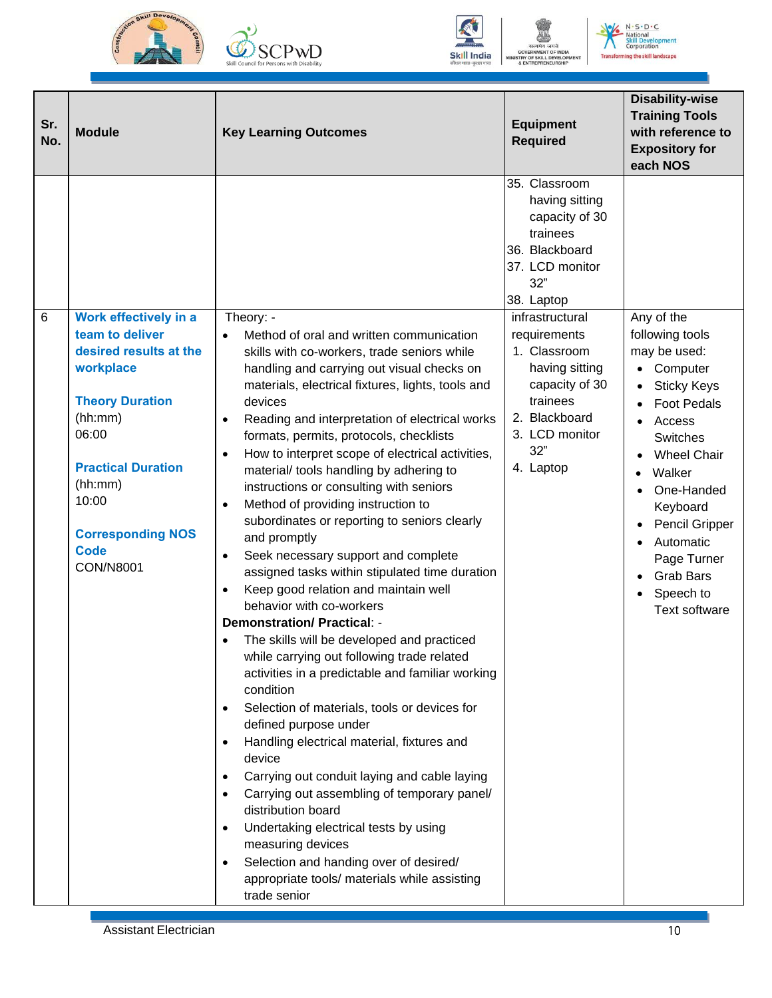







 $N \cdot S \cdot D \cdot C$ **National<br>Skill Development** ai<br>eveloj<br>ration ent **Transforming the skill landscape** 

| Sr.<br>No. | <b>Module</b>                                                                                                                                                                                                                                 | <b>Key Learning Outcomes</b>                                                                                                                                                                                                                                                                                                                                                                                                                                                                                                                                                                                                                                                                                                                                                                                                                                                                                                                                                                                                        | <b>Equipment</b><br><b>Required</b>                                                                                                                                                                                                                                               | <b>Disability-wise</b><br><b>Training Tools</b><br>with reference to<br><b>Expository for</b><br>each NOS                                                                                                                                                                                      |
|------------|-----------------------------------------------------------------------------------------------------------------------------------------------------------------------------------------------------------------------------------------------|-------------------------------------------------------------------------------------------------------------------------------------------------------------------------------------------------------------------------------------------------------------------------------------------------------------------------------------------------------------------------------------------------------------------------------------------------------------------------------------------------------------------------------------------------------------------------------------------------------------------------------------------------------------------------------------------------------------------------------------------------------------------------------------------------------------------------------------------------------------------------------------------------------------------------------------------------------------------------------------------------------------------------------------|-----------------------------------------------------------------------------------------------------------------------------------------------------------------------------------------------------------------------------------------------------------------------------------|------------------------------------------------------------------------------------------------------------------------------------------------------------------------------------------------------------------------------------------------------------------------------------------------|
| 6          | Work effectively in a<br>team to deliver<br>desired results at the<br>workplace<br><b>Theory Duration</b><br>(hh:mm)<br>06:00<br><b>Practical Duration</b><br>(hh:mm)<br>10:00<br><b>Corresponding NOS</b><br><b>Code</b><br><b>CON/N8001</b> | Theory: -<br>Method of oral and written communication<br>skills with co-workers, trade seniors while<br>handling and carrying out visual checks on<br>materials, electrical fixtures, lights, tools and<br>devices<br>Reading and interpretation of electrical works<br>formats, permits, protocols, checklists<br>How to interpret scope of electrical activities,<br>$\bullet$<br>material/ tools handling by adhering to<br>instructions or consulting with seniors<br>Method of providing instruction to<br>$\bullet$<br>subordinates or reporting to seniors clearly<br>and promptly<br>Seek necessary support and complete<br>$\bullet$<br>assigned tasks within stipulated time duration<br>Keep good relation and maintain well<br>behavior with co-workers<br><b>Demonstration/ Practical: -</b><br>The skills will be developed and practiced<br>while carrying out following trade related<br>activities in a predictable and familiar working<br>condition<br>Selection of materials, tools or devices for<br>$\bullet$ | 35. Classroom<br>having sitting<br>capacity of 30<br>trainees<br>36. Blackboard<br>37. LCD monitor<br>32"<br>38. Laptop<br>infrastructural<br>requirements<br>1. Classroom<br>having sitting<br>capacity of 30<br>trainees<br>2. Blackboard<br>3. LCD monitor<br>32"<br>4. Laptop | Any of the<br>following tools<br>may be used:<br>• Computer<br><b>Sticky Keys</b><br><b>Foot Pedals</b><br>Access<br>Switches<br><b>Wheel Chair</b><br>Walker<br>One-Handed<br>Keyboard<br><b>Pencil Gripper</b><br>Automatic<br>Page Turner<br><b>Grab Bars</b><br>Speech to<br>Text software |
|            |                                                                                                                                                                                                                                               | defined purpose under<br>Handling electrical material, fixtures and<br>device<br>Carrying out conduit laying and cable laying<br>Carrying out assembling of temporary panel/<br>distribution board<br>Undertaking electrical tests by using<br>measuring devices<br>Selection and handing over of desired/<br>appropriate tools/ materials while assisting                                                                                                                                                                                                                                                                                                                                                                                                                                                                                                                                                                                                                                                                          |                                                                                                                                                                                                                                                                                   |                                                                                                                                                                                                                                                                                                |
|            |                                                                                                                                                                                                                                               | trade senior                                                                                                                                                                                                                                                                                                                                                                                                                                                                                                                                                                                                                                                                                                                                                                                                                                                                                                                                                                                                                        |                                                                                                                                                                                                                                                                                   |                                                                                                                                                                                                                                                                                                |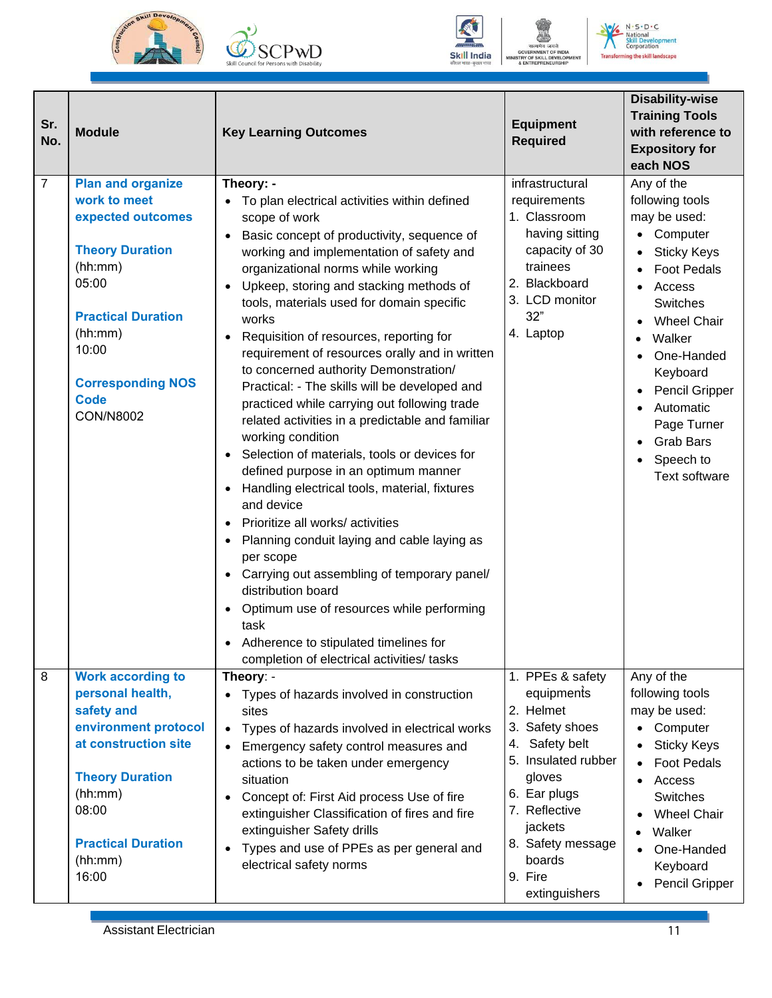





 $N \cdot S \cdot D \cdot C$ nal ial<br>eveloj<br>ration ent čÑ **Transforming the skill landscape** 

| Sr.<br>No.     | <b>Module</b>                                                                                                                                                                                                               | <b>Key Learning Outcomes</b>                                                                                                                                                                                                                                                                                                                                                                                                                                                                                                                                                                                                                                                                                                                                                                                                                                                                                                                                                                                                                                                                   | <b>Equipment</b><br><b>Required</b>                                                                                                                                                                                      | <b>Disability-wise</b><br><b>Training Tools</b><br>with reference to<br><b>Expository for</b><br>each NOS                                                                                                                                                                                                              |
|----------------|-----------------------------------------------------------------------------------------------------------------------------------------------------------------------------------------------------------------------------|------------------------------------------------------------------------------------------------------------------------------------------------------------------------------------------------------------------------------------------------------------------------------------------------------------------------------------------------------------------------------------------------------------------------------------------------------------------------------------------------------------------------------------------------------------------------------------------------------------------------------------------------------------------------------------------------------------------------------------------------------------------------------------------------------------------------------------------------------------------------------------------------------------------------------------------------------------------------------------------------------------------------------------------------------------------------------------------------|--------------------------------------------------------------------------------------------------------------------------------------------------------------------------------------------------------------------------|------------------------------------------------------------------------------------------------------------------------------------------------------------------------------------------------------------------------------------------------------------------------------------------------------------------------|
| $\overline{7}$ | <b>Plan and organize</b><br>work to meet<br>expected outcomes<br><b>Theory Duration</b><br>(hh:mm)<br>05:00<br><b>Practical Duration</b><br>(hh:mm)<br>10:00<br><b>Corresponding NOS</b><br><b>Code</b><br><b>CON/N8002</b> | Theory: -<br>• To plan electrical activities within defined<br>scope of work<br>Basic concept of productivity, sequence of<br>working and implementation of safety and<br>organizational norms while working<br>Upkeep, storing and stacking methods of<br>$\bullet$<br>tools, materials used for domain specific<br>works<br>Requisition of resources, reporting for<br>$\bullet$<br>requirement of resources orally and in written<br>to concerned authority Demonstration/<br>Practical: - The skills will be developed and<br>practiced while carrying out following trade<br>related activities in a predictable and familiar<br>working condition<br>Selection of materials, tools or devices for<br>defined purpose in an optimum manner<br>Handling electrical tools, material, fixtures<br>and device<br>Prioritize all works/ activities<br>Planning conduit laying and cable laying as<br>per scope<br>Carrying out assembling of temporary panel/<br>distribution board<br>Optimum use of resources while performing<br>$\bullet$<br>task<br>Adherence to stipulated timelines for | infrastructural<br>requirements<br>1. Classroom<br>having sitting<br>capacity of 30<br>trainees<br>2. Blackboard<br>3. LCD monitor<br>32"<br>4. Laptop                                                                   | Any of the<br>following tools<br>may be used:<br>Computer<br>$\bullet$<br><b>Sticky Keys</b><br><b>Foot Pedals</b><br>Access<br>Switches<br><b>Wheel Chair</b><br>Walker<br>One-Handed<br>Keyboard<br>Pencil Gripper<br>$\bullet$<br>Automatic<br>Page Turner<br><b>Grab Bars</b><br>Speech to<br><b>Text software</b> |
| 8              | <b>Work according to</b><br>personal health,<br>safety and<br>environment protocol<br>at construction site<br><b>Theory Duration</b><br>(hh:mm)<br>08:00<br><b>Practical Duration</b><br>(hh:mm)<br>16:00                   | completion of electrical activities/ tasks<br>Theory: -<br>Types of hazards involved in construction<br>$\bullet$<br>sites<br>Types of hazards involved in electrical works<br>$\bullet$<br>Emergency safety control measures and<br>actions to be taken under emergency<br>situation<br>Concept of: First Aid process Use of fire<br>$\bullet$<br>extinguisher Classification of fires and fire<br>extinguisher Safety drills<br>Types and use of PPEs as per general and<br>electrical safety norms                                                                                                                                                                                                                                                                                                                                                                                                                                                                                                                                                                                          | 1. PPEs & safety<br>equipments<br>2. Helmet<br>3. Safety shoes<br>4. Safety belt<br>5. Insulated rubber<br>gloves<br>6. Ear plugs<br>7. Reflective<br>jackets<br>8. Safety message<br>boards<br>9. Fire<br>extinguishers | Any of the<br>following tools<br>may be used:<br>Computer<br><b>Sticky Keys</b><br><b>Foot Pedals</b><br>Access<br>Switches<br><b>Wheel Chair</b><br>Walker<br>One-Handed<br>Keyboard<br><b>Pencil Gripper</b>                                                                                                         |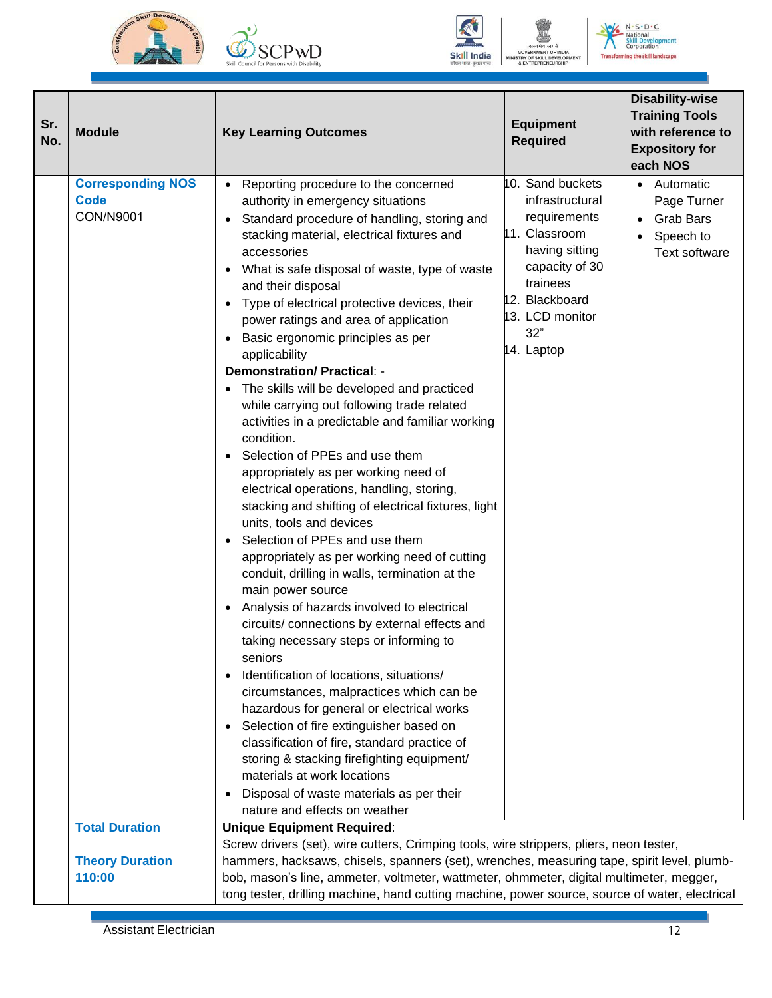







 $N \cdot S \cdot D \cdot C$ Vational<br><mark>Skill Dev</mark> ent  $\tilde{c}_{01}$  $\frac{1}{2}$ **Transfo** ming the skill landscape

| Sr.<br>No. | <b>Module</b>                                        | <b>Key Learning Outcomes</b>                                                                                                                                                                                                                                                                                                                                                                                                                                                                                                                                                                                                                                                                                                                                                                                                                                                                                                                                                                                                                                                                                                                                                                                                                                                                                                                                                                                                                                                                                                                                                                                                  | <b>Equipment</b><br><b>Required</b>                                                                                                                                            | <b>Disability-wise</b><br><b>Training Tools</b><br>with reference to<br><b>Expository for</b><br>each NOS |
|------------|------------------------------------------------------|-------------------------------------------------------------------------------------------------------------------------------------------------------------------------------------------------------------------------------------------------------------------------------------------------------------------------------------------------------------------------------------------------------------------------------------------------------------------------------------------------------------------------------------------------------------------------------------------------------------------------------------------------------------------------------------------------------------------------------------------------------------------------------------------------------------------------------------------------------------------------------------------------------------------------------------------------------------------------------------------------------------------------------------------------------------------------------------------------------------------------------------------------------------------------------------------------------------------------------------------------------------------------------------------------------------------------------------------------------------------------------------------------------------------------------------------------------------------------------------------------------------------------------------------------------------------------------------------------------------------------------|--------------------------------------------------------------------------------------------------------------------------------------------------------------------------------|-----------------------------------------------------------------------------------------------------------|
|            | <b>Corresponding NOS</b><br><b>Code</b><br>CON/N9001 | • Reporting procedure to the concerned<br>authority in emergency situations<br>Standard procedure of handling, storing and<br>$\bullet$<br>stacking material, electrical fixtures and<br>accessories<br>What is safe disposal of waste, type of waste<br>$\bullet$<br>and their disposal<br>Type of electrical protective devices, their<br>$\bullet$<br>power ratings and area of application<br>Basic ergonomic principles as per<br>$\bullet$<br>applicability<br><b>Demonstration/ Practical: -</b><br>The skills will be developed and practiced<br>while carrying out following trade related<br>activities in a predictable and familiar working<br>condition.<br>Selection of PPEs and use them<br>appropriately as per working need of<br>electrical operations, handling, storing,<br>stacking and shifting of electrical fixtures, light<br>units, tools and devices<br>Selection of PPEs and use them<br>$\bullet$<br>appropriately as per working need of cutting<br>conduit, drilling in walls, termination at the<br>main power source<br>Analysis of hazards involved to electrical<br>$\bullet$<br>circuits/ connections by external effects and<br>taking necessary steps or informing to<br>seniors<br>Identification of locations, situations/<br>circumstances, malpractices which can be<br>hazardous for general or electrical works<br>Selection of fire extinguisher based on<br>$\bullet$<br>classification of fire, standard practice of<br>storing & stacking firefighting equipment/<br>materials at work locations<br>Disposal of waste materials as per their<br>nature and effects on weather | 10. Sand buckets<br>infrastructural<br>requirements<br>11. Classroom<br>having sitting<br>capacity of 30<br>trainees<br>12. Blackboard<br>13. LCD monitor<br>32"<br>14. Laptop | Automatic<br>$\bullet$<br>Page Turner<br><b>Grab Bars</b><br>Speech to<br>Text software                   |
|            | <b>Total Duration</b>                                | <b>Unique Equipment Required:</b>                                                                                                                                                                                                                                                                                                                                                                                                                                                                                                                                                                                                                                                                                                                                                                                                                                                                                                                                                                                                                                                                                                                                                                                                                                                                                                                                                                                                                                                                                                                                                                                             |                                                                                                                                                                                |                                                                                                           |
|            |                                                      | Screw drivers (set), wire cutters, Crimping tools, wire strippers, pliers, neon tester,                                                                                                                                                                                                                                                                                                                                                                                                                                                                                                                                                                                                                                                                                                                                                                                                                                                                                                                                                                                                                                                                                                                                                                                                                                                                                                                                                                                                                                                                                                                                       |                                                                                                                                                                                |                                                                                                           |
|            | <b>Theory Duration</b>                               | hammers, hacksaws, chisels, spanners (set), wrenches, measuring tape, spirit level, plumb-                                                                                                                                                                                                                                                                                                                                                                                                                                                                                                                                                                                                                                                                                                                                                                                                                                                                                                                                                                                                                                                                                                                                                                                                                                                                                                                                                                                                                                                                                                                                    |                                                                                                                                                                                |                                                                                                           |
|            | 110:00                                               | bob, mason's line, ammeter, voltmeter, wattmeter, ohmmeter, digital multimeter, megger,                                                                                                                                                                                                                                                                                                                                                                                                                                                                                                                                                                                                                                                                                                                                                                                                                                                                                                                                                                                                                                                                                                                                                                                                                                                                                                                                                                                                                                                                                                                                       |                                                                                                                                                                                |                                                                                                           |
|            |                                                      | tong tester, drilling machine, hand cutting machine, power source, source of water, electrical                                                                                                                                                                                                                                                                                                                                                                                                                                                                                                                                                                                                                                                                                                                                                                                                                                                                                                                                                                                                                                                                                                                                                                                                                                                                                                                                                                                                                                                                                                                                |                                                                                                                                                                                |                                                                                                           |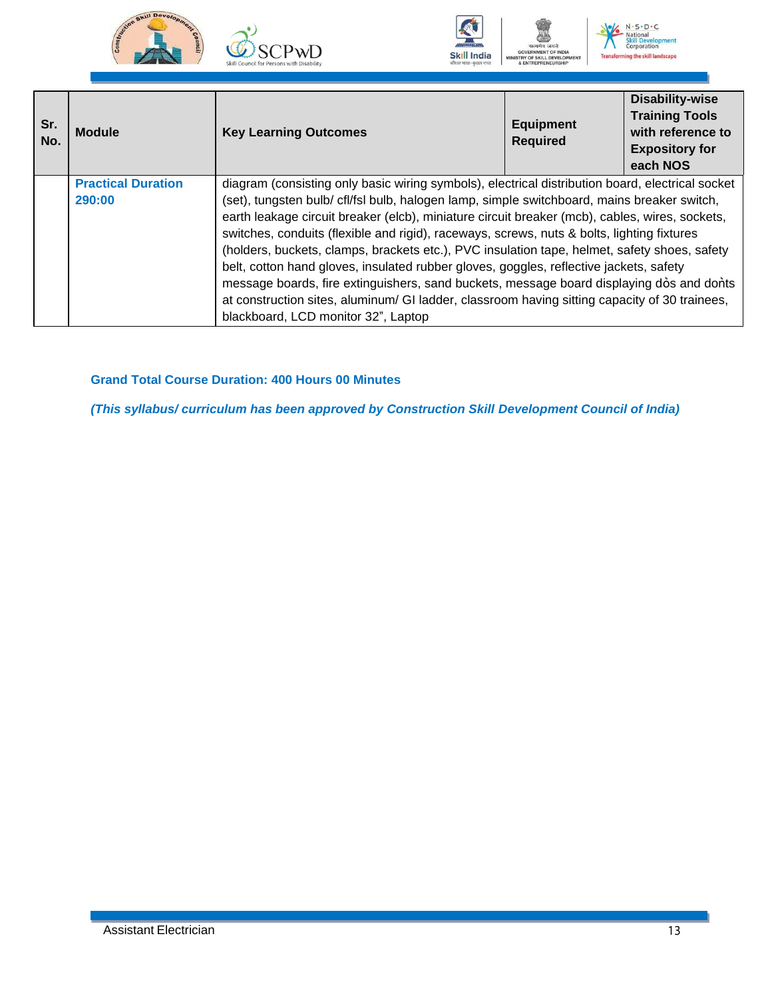







ng the skill landscape

**Sr. No. Module Key Learning Outcomes Equipment Required Disability-wise Training Tools with reference to Expository for each NOS Practical Duration 290:00** diagram (consisting only basic wiring symbols), electrical distribution board, electrical socket (set), tungsten bulb/ cfl/fsl bulb, halogen lamp, simple switchboard, mains breaker switch, earth leakage circuit breaker (elcb), miniature circuit breaker (mcb), cables, wires, sockets, switches, conduits (flexible and rigid), raceways, screws, nuts & bolts, lighting fixtures (holders, buckets, clamps, brackets etc.), PVC insulation tape, helmet, safety shoes, safety belt, cotton hand gloves, insulated rubber gloves, goggles, reflective jackets, safety message boards, fire extinguishers, sand buckets, message board displaying dos and donts at construction sites, aluminum/ GI ladder, classroom having sitting capacity of 30 trainees, blackboard, LCD monitor 32", Laptop

#### **Grand Total Course Duration: 400 Hours 00 Minutes**

<span id="page-15-0"></span>*(This syllabus/ curriculum has been approved by Construction Skill Development Council of India)*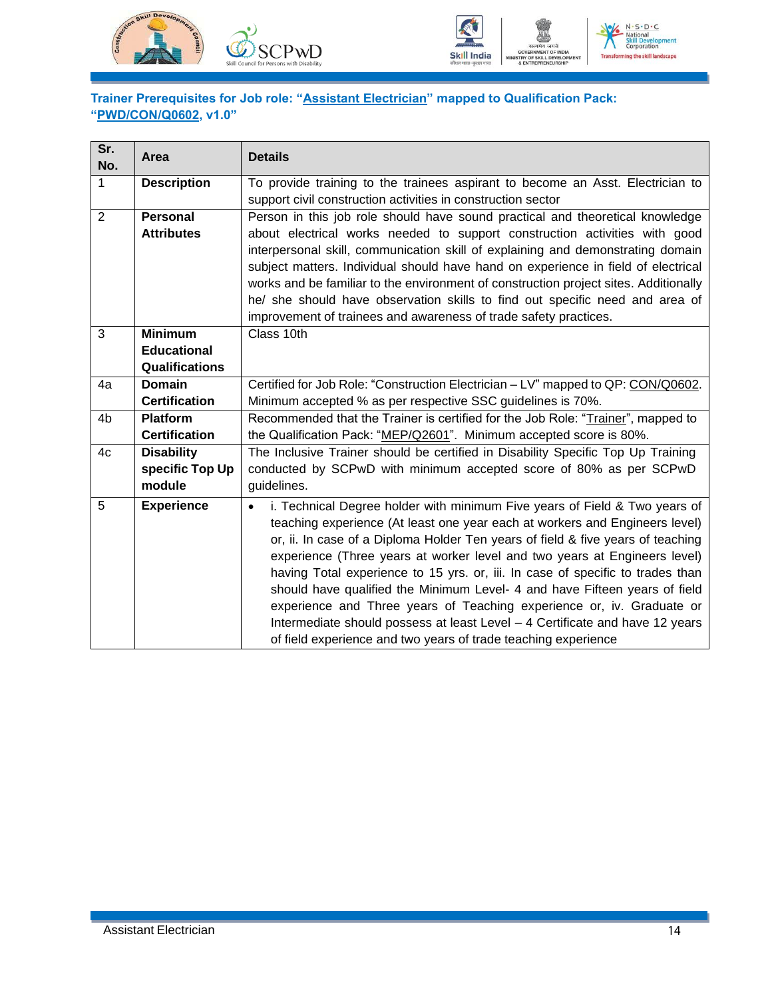



#### <span id="page-16-0"></span>**Trainer Prerequisites for Job role: "Assistant Electrician" mapped to Qualification Pack: "PWD/CON/Q0602, v1.0"**

| Sr.<br>No.     | Area                  | <b>Details</b>                                                                          |
|----------------|-----------------------|-----------------------------------------------------------------------------------------|
| $\mathbf{1}$   | <b>Description</b>    | To provide training to the trainees aspirant to become an Asst. Electrician to          |
|                |                       | support civil construction activities in construction sector                            |
| 2              | Personal              | Person in this job role should have sound practical and theoretical knowledge           |
|                | <b>Attributes</b>     | about electrical works needed to support construction activities with good              |
|                |                       | interpersonal skill, communication skill of explaining and demonstrating domain         |
|                |                       | subject matters. Individual should have hand on experience in field of electrical       |
|                |                       | works and be familiar to the environment of construction project sites. Additionally    |
|                |                       | he/ she should have observation skills to find out specific need and area of            |
|                |                       | improvement of trainees and awareness of trade safety practices.                        |
| 3              | <b>Minimum</b>        | Class 10th                                                                              |
|                | <b>Educational</b>    |                                                                                         |
|                | <b>Qualifications</b> |                                                                                         |
| 4a             | <b>Domain</b>         | Certified for Job Role: "Construction Electrician - LV" mapped to QP: CON/Q0602.        |
|                | <b>Certification</b>  | Minimum accepted % as per respective SSC guidelines is 70%.                             |
| 4 <sub>b</sub> | <b>Platform</b>       | Recommended that the Trainer is certified for the Job Role: "Trainer", mapped to        |
|                | <b>Certification</b>  | the Qualification Pack: "MEP/Q2601". Minimum accepted score is 80%.                     |
| 4c             | <b>Disability</b>     | The Inclusive Trainer should be certified in Disability Specific Top Up Training        |
|                | specific Top Up       | conducted by SCPwD with minimum accepted score of 80% as per SCPwD                      |
|                | module                | guidelines.                                                                             |
| 5              | <b>Experience</b>     | i. Technical Degree holder with minimum Five years of Field & Two years of<br>$\bullet$ |
|                |                       | teaching experience (At least one year each at workers and Engineers level)             |
|                |                       | or, ii. In case of a Diploma Holder Ten years of field & five years of teaching         |
|                |                       | experience (Three years at worker level and two years at Engineers level)               |
|                |                       | having Total experience to 15 yrs. or, iii. In case of specific to trades than          |
|                |                       | should have qualified the Minimum Level- 4 and have Fifteen years of field              |
|                |                       | experience and Three years of Teaching experience or, iv. Graduate or                   |
|                |                       | Intermediate should possess at least Level - 4 Certificate and have 12 years            |
|                |                       | of field experience and two years of trade teaching experience                          |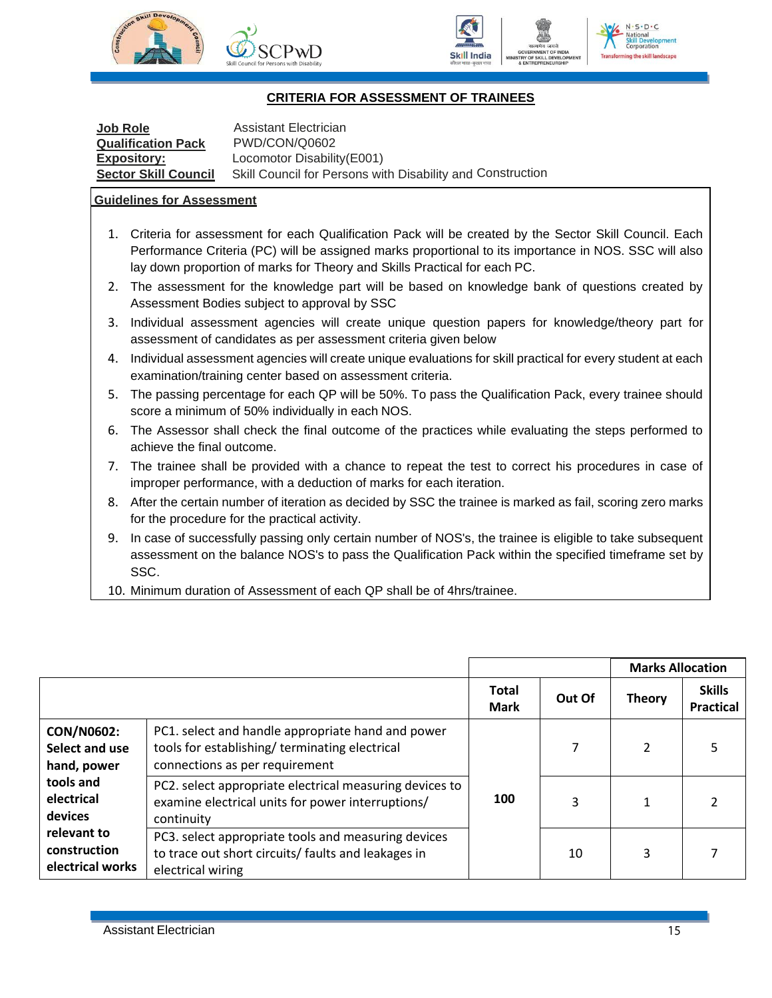



#### **CRITERIA FOR ASSESSMENT OF TRAINEES**

<span id="page-17-0"></span>

| <b>Job Role</b><br><b>Qualification Pack</b> | Assistant Electrician<br>PWD/CON/Q0602                     |
|----------------------------------------------|------------------------------------------------------------|
| <b>Expository:</b>                           | Locomotor Disability (E001)                                |
| <b>Sector Skill Council</b>                  | Skill Council for Persons with Disability and Construction |

#### **Guidelines for Assessment**

- 1. Criteria for assessment for each Qualification Pack will be created by the Sector Skill Council. Each Performance Criteria (PC) will be assigned marks proportional to its importance in NOS. SSC will also lay down proportion of marks for Theory and Skills Practical for each PC.
- 2. The assessment for the knowledge part will be based on knowledge bank of questions created by Assessment Bodies subject to approval by SSC
- 3. Individual assessment agencies will create unique question papers for knowledge/theory part for assessment of candidates as per assessment criteria given below
- 4. Individual assessment agencies will create unique evaluations for skill practical for every student at each examination/training center based on assessment criteria.
- 5. The passing percentage for each QP will be 50%. To pass the Qualification Pack, every trainee should score a minimum of 50% individually in each NOS.
- 6. The Assessor shall check the final outcome of the practices while evaluating the steps performed to achieve the final outcome.
- 7. The trainee shall be provided with a chance to repeat the test to correct his procedures in case of improper performance, with a deduction of marks for each iteration.
- 8. After the certain number of iteration as decided by SSC the trainee is marked as fail, scoring zero marks for the procedure for the practical activity.
- 9. In case of successfully passing only certain number of NOS's, the trainee is eligible to take subsequent assessment on the balance NOS's to pass the Qualification Pack within the specified timeframe set by SSC.
- 10. Minimum duration of Assessment of each QP shall be of 4hrs/trainee.

|                                                    |                                                                                                                                      |                             |        | <b>Marks Allocation</b> |                                   |
|----------------------------------------------------|--------------------------------------------------------------------------------------------------------------------------------------|-----------------------------|--------|-------------------------|-----------------------------------|
|                                                    |                                                                                                                                      | <b>Total</b><br><b>Mark</b> | Out Of | <b>Theory</b>           | <b>Skills</b><br><b>Practical</b> |
| <b>CON/N0602:</b><br>Select and use<br>hand, power | PC1. select and handle appropriate hand and power<br>tools for establishing/terminating electrical<br>connections as per requirement |                             |        | $\overline{2}$          |                                   |
| tools and<br>electrical<br>devices                 | PC2. select appropriate electrical measuring devices to<br>examine electrical units for power interruptions/<br>continuity           | 100                         | 3      |                         |                                   |
| relevant to<br>construction<br>electrical works    | PC3. select appropriate tools and measuring devices<br>to trace out short circuits/ faults and leakages in<br>electrical wiring      |                             | 10     | 3                       |                                   |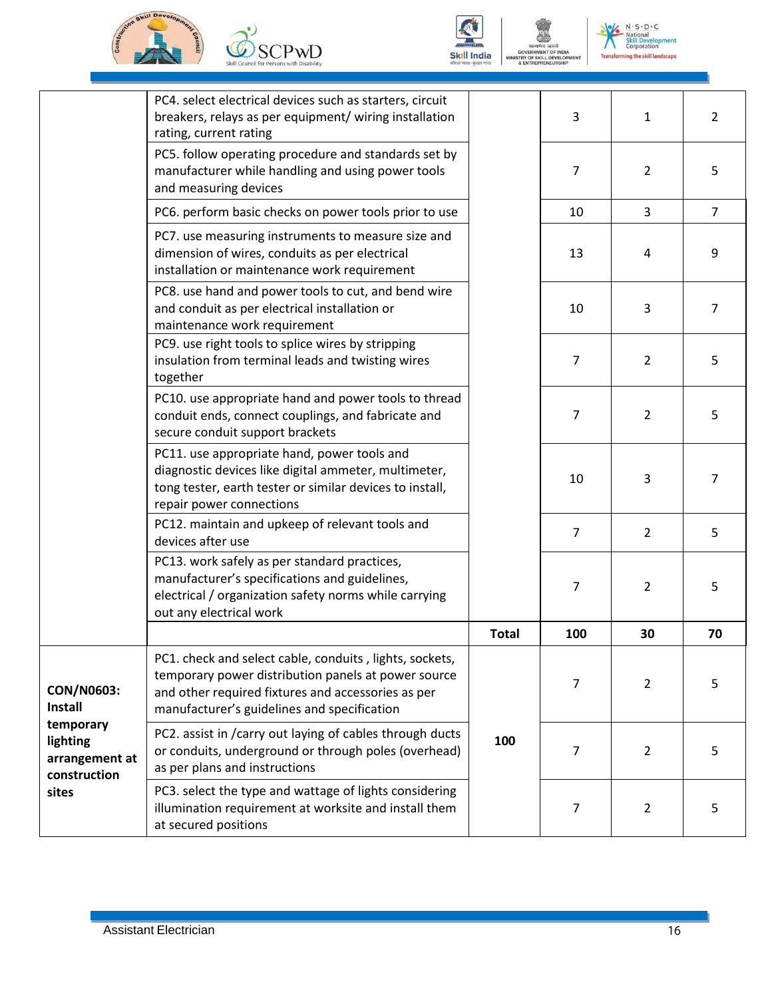







 $N \cdot S \cdot D \cdot C$ Vatio nal Nation<br>Skill De<br>Corpor ent ation **Transforming the skill landscape** 

|                                                         | PC4. select electrical devices such as starters, circuit<br>breakers, relays as per equipment/ wiring installation<br>rating, current rating                                                                        |              | 3              | 1              | 2              |
|---------------------------------------------------------|---------------------------------------------------------------------------------------------------------------------------------------------------------------------------------------------------------------------|--------------|----------------|----------------|----------------|
|                                                         | PC5. follow operating procedure and standards set by<br>manufacturer while handling and using power tools<br>and measuring devices                                                                                  |              | $\overline{7}$ | $\overline{2}$ | 5              |
|                                                         | PC6. perform basic checks on power tools prior to use                                                                                                                                                               |              | 10             | $\overline{3}$ | $\overline{7}$ |
|                                                         | PC7. use measuring instruments to measure size and<br>dimension of wires, conduits as per electrical<br>installation or maintenance work requirement                                                                |              | 13             | 4              | 9              |
|                                                         | PC8. use hand and power tools to cut, and bend wire<br>and conduit as per electrical installation or<br>maintenance work requirement                                                                                |              | 10             | 3              | 7              |
|                                                         | PC9. use right tools to splice wires by stripping<br>insulation from terminal leads and twisting wires<br>together                                                                                                  |              | 7              | $\overline{2}$ | 5              |
|                                                         | PC10. use appropriate hand and power tools to thread<br>conduit ends, connect couplings, and fabricate and<br>secure conduit support brackets                                                                       |              | $\overline{7}$ | $\overline{2}$ | 5              |
|                                                         | PC11. use appropriate hand, power tools and<br>diagnostic devices like digital ammeter, multimeter,<br>tong tester, earth tester or similar devices to install,<br>repair power connections                         |              | 10             | 3              | $\overline{7}$ |
|                                                         | PC12. maintain and upkeep of relevant tools and<br>devices after use                                                                                                                                                |              | $\overline{7}$ | $\overline{2}$ | 5              |
|                                                         | PC13. work safely as per standard practices,<br>manufacturer's specifications and guidelines,<br>electrical / organization safety norms while carrying<br>out any electrical work                                   |              | 7              | $\overline{2}$ | 5              |
|                                                         |                                                                                                                                                                                                                     | <b>Total</b> | 100            | 30             | 70             |
| CON/N0603:<br><b>Install</b>                            | PC1. check and select cable, conduits, lights, sockets,<br>temporary power distribution panels at power source<br>and other required fixtures and accessories as per<br>manufacturer's guidelines and specification |              | 7              | $\overline{2}$ | 5              |
| temporary<br>lighting<br>arrangement at<br>construction | PC2. assist in /carry out laying of cables through ducts<br>or conduits, underground or through poles (overhead)<br>as per plans and instructions                                                                   | 100          | 7              | $\overline{2}$ | 5              |
| sites                                                   | PC3. select the type and wattage of lights considering<br>illumination requirement at worksite and install them<br>at secured positions                                                                             |              | $\overline{7}$ | $\overline{2}$ | 5              |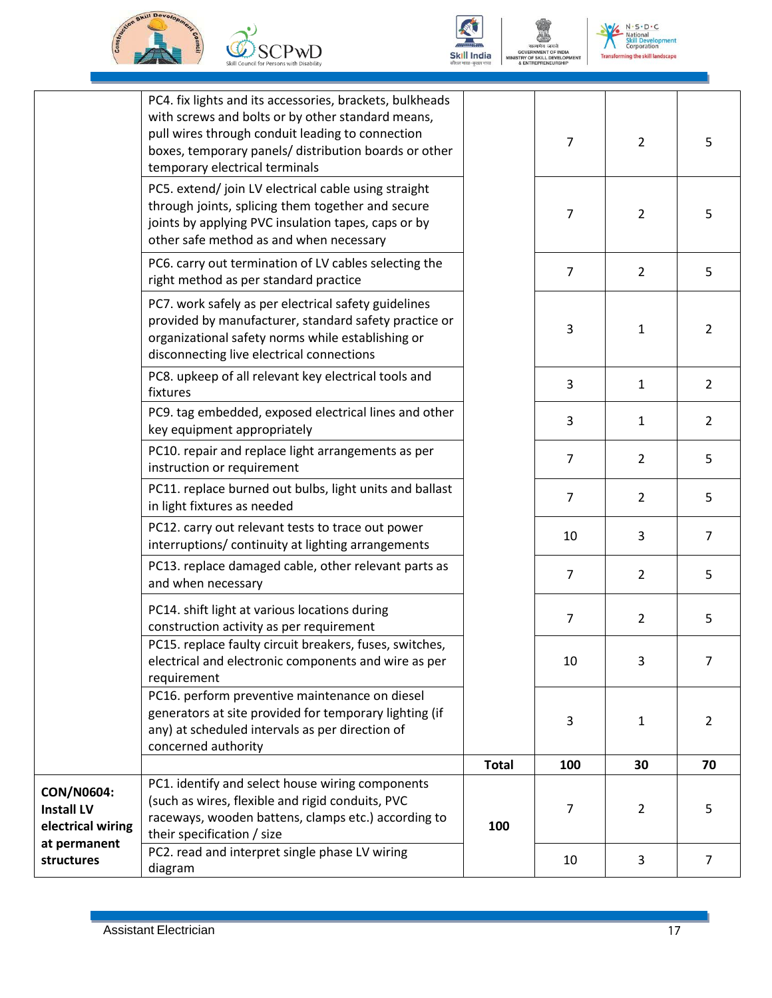







 $N \cdot S \cdot D \cdot C$ **National<br>Skill Development** ent evelo<sub>l</sub><br>ration **Transforming the skill landscape** 

|                                                      | PC4. fix lights and its accessories, brackets, bulkheads<br>with screws and bolts or by other standard means,<br>pull wires through conduit leading to connection<br>boxes, temporary panels/ distribution boards or other<br>temporary electrical terminals |              | $\overline{7}$ | $\overline{2}$ | 5              |
|------------------------------------------------------|--------------------------------------------------------------------------------------------------------------------------------------------------------------------------------------------------------------------------------------------------------------|--------------|----------------|----------------|----------------|
|                                                      | PC5. extend/join LV electrical cable using straight<br>through joints, splicing them together and secure<br>joints by applying PVC insulation tapes, caps or by<br>other safe method as and when necessary                                                   |              | $\overline{7}$ | 2              | 5              |
|                                                      | PC6. carry out termination of LV cables selecting the<br>right method as per standard practice                                                                                                                                                               |              | $\overline{7}$ | $\overline{2}$ | 5              |
|                                                      | PC7. work safely as per electrical safety guidelines<br>provided by manufacturer, standard safety practice or<br>organizational safety norms while establishing or<br>disconnecting live electrical connections                                              |              | 3              | 1              | 2              |
|                                                      | PC8. upkeep of all relevant key electrical tools and<br>fixtures                                                                                                                                                                                             |              | 3              | $\mathbf{1}$   | $\overline{2}$ |
|                                                      | PC9. tag embedded, exposed electrical lines and other<br>key equipment appropriately                                                                                                                                                                         |              | 3              | $\mathbf{1}$   | $\overline{2}$ |
|                                                      | PC10. repair and replace light arrangements as per<br>instruction or requirement                                                                                                                                                                             |              | $\overline{7}$ | $\overline{2}$ | 5              |
|                                                      | PC11. replace burned out bulbs, light units and ballast<br>in light fixtures as needed                                                                                                                                                                       |              | $\overline{7}$ | $\overline{2}$ | 5              |
|                                                      | PC12. carry out relevant tests to trace out power<br>interruptions/ continuity at lighting arrangements                                                                                                                                                      |              | 10             | 3              | 7              |
|                                                      | PC13. replace damaged cable, other relevant parts as<br>and when necessary                                                                                                                                                                                   |              | $\overline{7}$ | $\overline{2}$ | 5              |
|                                                      | PC14. shift light at various locations during<br>construction activity as per requirement                                                                                                                                                                    |              | $\overline{7}$ | $\overline{2}$ | 5              |
|                                                      | PC15. replace faulty circuit breakers, fuses, switches,<br>electrical and electronic components and wire as per<br>requirement                                                                                                                               |              | 10             | 3              | 7              |
|                                                      | PC16. perform preventive maintenance on diesel<br>generators at site provided for temporary lighting (if<br>any) at scheduled intervals as per direction of<br>concerned authority                                                                           |              | 3              | 1              | 2              |
|                                                      |                                                                                                                                                                                                                                                              | <b>Total</b> | 100            | 30             | 70             |
| CON/N0604:<br><b>Install LV</b><br>electrical wiring | PC1. identify and select house wiring components<br>(such as wires, flexible and rigid conduits, PVC<br>raceways, wooden battens, clamps etc.) according to<br>their specification / size                                                                    | 100          | 7              | 2              | 5              |
| at permanent<br>structures                           | PC2. read and interpret single phase LV wiring<br>diagram                                                                                                                                                                                                    |              | 10             | 3              | $\overline{7}$ |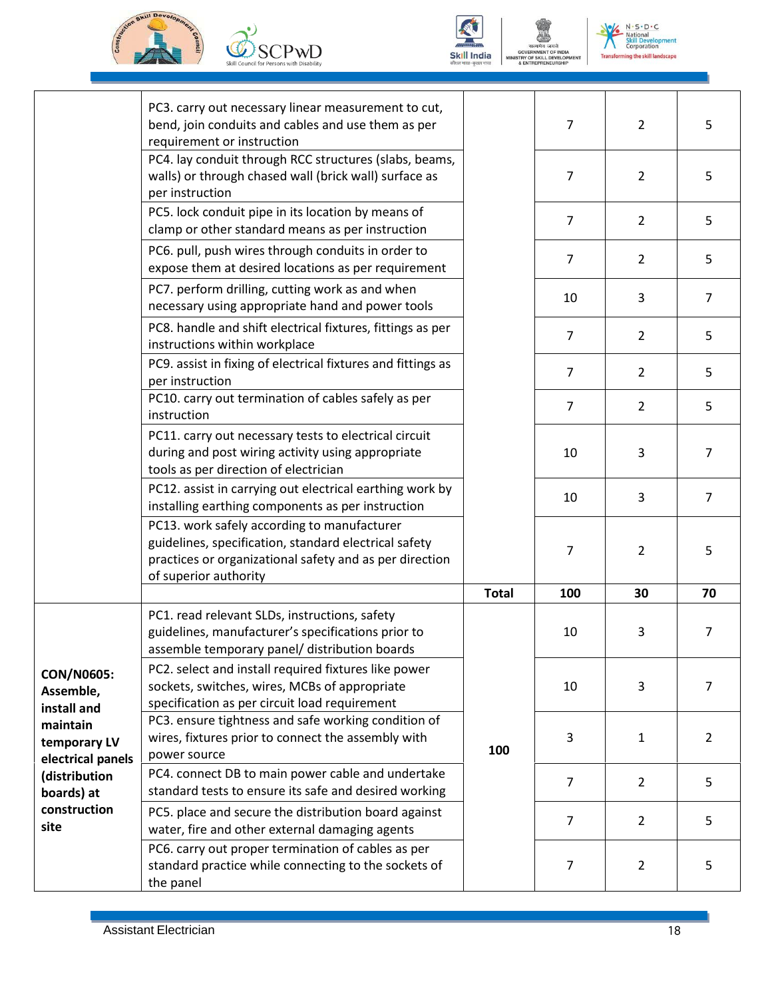





 $N \cdot S \cdot D \cdot C$ **National<br>Skill Develo<br>Corporation** ent **Transforming the skill landscape** 

|                                               | PC3. carry out necessary linear measurement to cut,<br>bend, join conduits and cables and use them as per<br>requirement or instruction                                                  |              | 7              | $\overline{2}$ | 5              |
|-----------------------------------------------|------------------------------------------------------------------------------------------------------------------------------------------------------------------------------------------|--------------|----------------|----------------|----------------|
|                                               | PC4. lay conduit through RCC structures (slabs, beams,<br>walls) or through chased wall (brick wall) surface as<br>per instruction                                                       |              | 7              | 2              | 5              |
|                                               | PC5. lock conduit pipe in its location by means of<br>clamp or other standard means as per instruction                                                                                   |              | $\overline{7}$ | $\overline{2}$ | 5              |
|                                               | PC6. pull, push wires through conduits in order to<br>expose them at desired locations as per requirement                                                                                |              | $\overline{7}$ | $\overline{2}$ | 5              |
|                                               | PC7. perform drilling, cutting work as and when<br>necessary using appropriate hand and power tools                                                                                      |              | 10             | 3              | $\overline{7}$ |
|                                               | PC8. handle and shift electrical fixtures, fittings as per<br>instructions within workplace                                                                                              |              | $\overline{7}$ | $\overline{2}$ | 5              |
|                                               | PC9. assist in fixing of electrical fixtures and fittings as<br>per instruction                                                                                                          |              | 7              | $\overline{2}$ | 5              |
|                                               | PC10. carry out termination of cables safely as per<br>instruction                                                                                                                       |              | $\overline{7}$ | $\overline{2}$ | 5              |
|                                               | PC11. carry out necessary tests to electrical circuit<br>during and post wiring activity using appropriate<br>tools as per direction of electrician                                      |              | 10             | 3              | $\overline{7}$ |
|                                               | PC12. assist in carrying out electrical earthing work by<br>installing earthing components as per instruction                                                                            |              | 10             | 3              | $\overline{7}$ |
|                                               | PC13. work safely according to manufacturer<br>guidelines, specification, standard electrical safety<br>practices or organizational safety and as per direction<br>of superior authority |              | 7              | 2              | 5              |
|                                               |                                                                                                                                                                                          | <b>Total</b> | 100            | 30             | 70             |
|                                               | PC1. read relevant SLDs, instructions, safety<br>guidelines, manufacturer's specifications prior to<br>assemble temporary panel/ distribution boards                                     |              | 10             | 3              | $\overline{7}$ |
| <b>CON/N0605:</b><br>Assemble,<br>install and | PC2. select and install required fixtures like power<br>sockets, switches, wires, MCBs of appropriate<br>specification as per circuit load requirement                                   | 100          | 10             | 3              | $\overline{7}$ |
| maintain<br>temporary LV<br>electrical panels | PC3. ensure tightness and safe working condition of<br>wires, fixtures prior to connect the assembly with<br>power source                                                                |              | 3              | $\mathbf{1}$   | $\overline{2}$ |
| (distribution<br>boards) at                   | PC4. connect DB to main power cable and undertake<br>standard tests to ensure its safe and desired working                                                                               |              | $\overline{7}$ | $\overline{2}$ | 5              |
| construction<br>site                          | PC5. place and secure the distribution board against<br>water, fire and other external damaging agents                                                                                   |              | $\overline{7}$ | $\overline{2}$ | 5              |
|                                               | PC6. carry out proper termination of cables as per<br>standard practice while connecting to the sockets of<br>the panel                                                                  |              | 7              | $\overline{2}$ | 5              |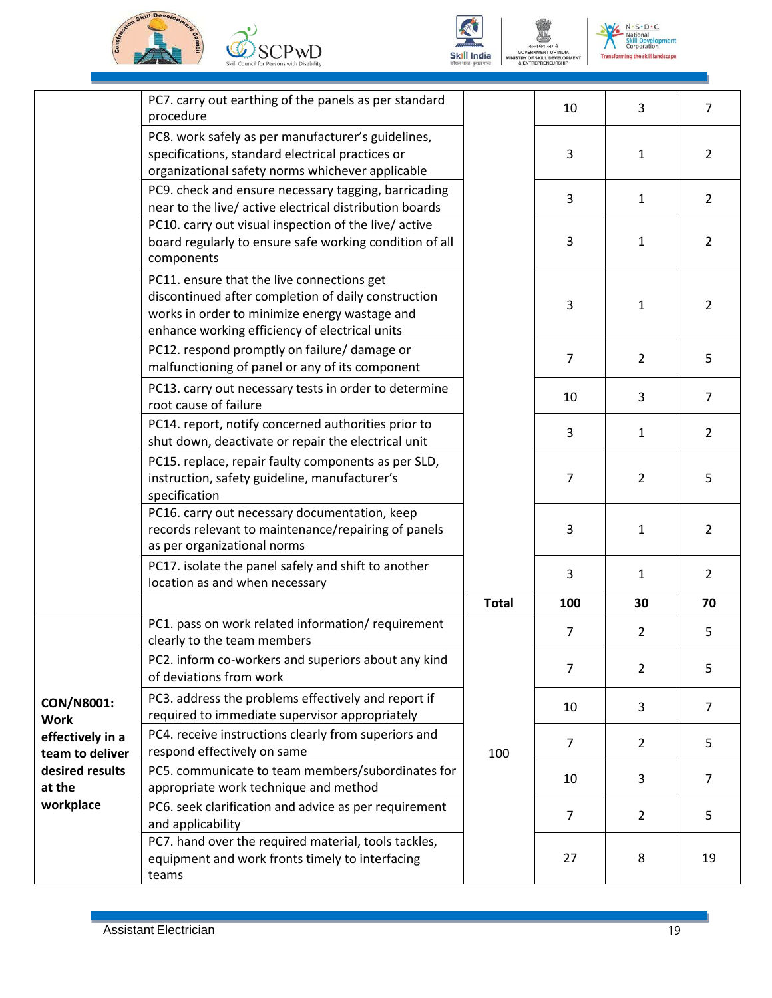







 $N \cdot S \cdot D \cdot C$ nal ent č.  $\frac{1}{2}$ **Transforming the skill landscape** 

|                                     | PC7. carry out earthing of the panels as per standard<br>procedure                                                                                                                                   |              | 10             | 3              | $\overline{7}$ |
|-------------------------------------|------------------------------------------------------------------------------------------------------------------------------------------------------------------------------------------------------|--------------|----------------|----------------|----------------|
|                                     | PC8. work safely as per manufacturer's guidelines,<br>specifications, standard electrical practices or<br>organizational safety norms whichever applicable                                           |              | 3              | $\mathbf{1}$   | $\overline{2}$ |
|                                     | PC9. check and ensure necessary tagging, barricading<br>near to the live/ active electrical distribution boards                                                                                      |              | 3              | $\mathbf{1}$   | $\overline{2}$ |
|                                     | PC10. carry out visual inspection of the live/active<br>board regularly to ensure safe working condition of all<br>components                                                                        |              | 3              | $\mathbf{1}$   | $\overline{2}$ |
|                                     | PC11. ensure that the live connections get<br>discontinued after completion of daily construction<br>works in order to minimize energy wastage and<br>enhance working efficiency of electrical units |              | 3              | $\mathbf{1}$   | $\overline{2}$ |
|                                     | PC12. respond promptly on failure/ damage or<br>malfunctioning of panel or any of its component                                                                                                      |              | $\overline{7}$ | $\overline{2}$ | 5              |
|                                     | PC13. carry out necessary tests in order to determine<br>root cause of failure                                                                                                                       |              | 10             | 3              | $\overline{7}$ |
|                                     | PC14. report, notify concerned authorities prior to<br>shut down, deactivate or repair the electrical unit                                                                                           |              | 3              | 1              | $\overline{2}$ |
|                                     | PC15. replace, repair faulty components as per SLD,<br>instruction, safety guideline, manufacturer's<br>specification                                                                                |              | 7              | 2              | 5              |
|                                     | PC16. carry out necessary documentation, keep<br>records relevant to maintenance/repairing of panels<br>as per organizational norms                                                                  |              | 3              | $\mathbf{1}$   | $\overline{2}$ |
|                                     | PC17. isolate the panel safely and shift to another<br>location as and when necessary                                                                                                                |              | 3              | 1              | $\overline{2}$ |
|                                     |                                                                                                                                                                                                      | <b>Total</b> | 100            | 30             | 70             |
|                                     | PC1. pass on work related information/ requirement<br>clearly to the team members                                                                                                                    |              | $\overline{7}$ | $\overline{2}$ | 5              |
|                                     | PC2. inform co-workers and superiors about any kind<br>of deviations from work                                                                                                                       |              | 7              | $\overline{2}$ | 5              |
| CON/N8001:<br><b>Work</b>           | PC3. address the problems effectively and report if<br>required to immediate supervisor appropriately                                                                                                |              | 10             | 3              | $\overline{7}$ |
| effectively in a<br>team to deliver | PC4. receive instructions clearly from superiors and<br>respond effectively on same                                                                                                                  | 100          | $\overline{7}$ | $\overline{2}$ | 5              |
| desired results<br>at the           | PC5. communicate to team members/subordinates for<br>appropriate work technique and method                                                                                                           |              | 10             | 3              | $\overline{7}$ |
| workplace                           | PC6. seek clarification and advice as per requirement<br>and applicability                                                                                                                           |              | $\overline{7}$ | $\overline{2}$ | 5              |
|                                     | PC7. hand over the required material, tools tackles,<br>equipment and work fronts timely to interfacing<br>teams                                                                                     |              | 27             | 8              | 19             |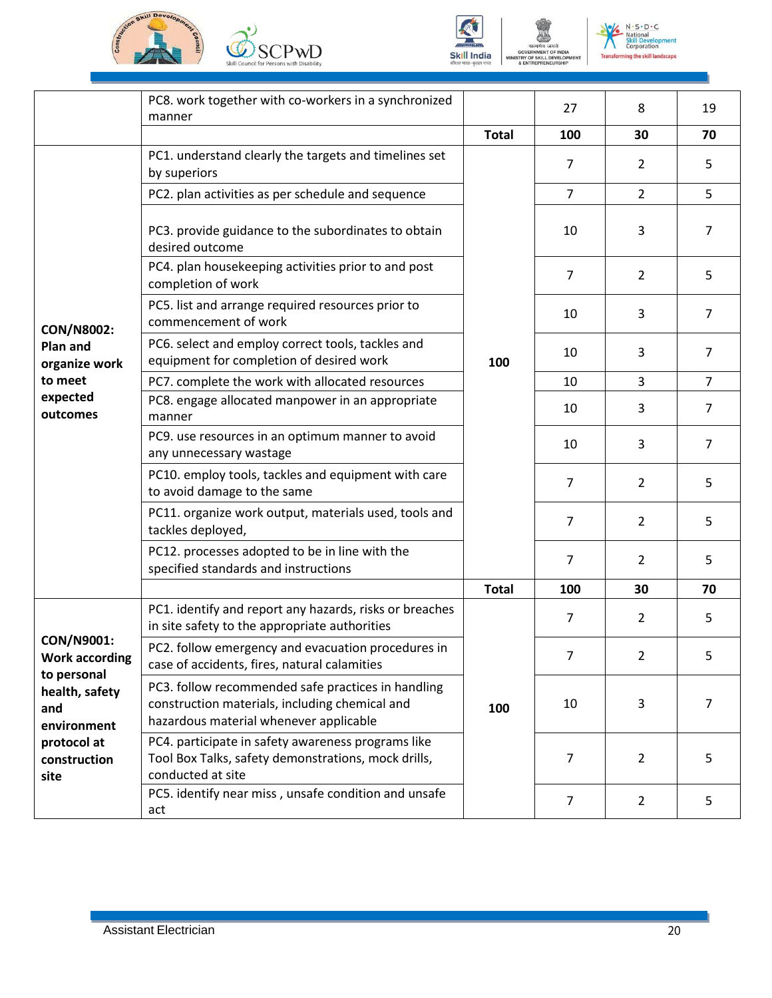







 $N \cdot S \cdot D \cdot C$ hal ent č.  $\frac{1}{2}$ ming the skill landscape

|                                                    | PC8. work together with co-workers in a synchronized<br>manner                                                                                 |              | 27  | 8              | 19             |
|----------------------------------------------------|------------------------------------------------------------------------------------------------------------------------------------------------|--------------|-----|----------------|----------------|
|                                                    |                                                                                                                                                | <b>Total</b> | 100 | 30             | 70             |
|                                                    | PC1. understand clearly the targets and timelines set<br>by superiors                                                                          |              | 7   | 2              | 5              |
|                                                    | PC2. plan activities as per schedule and sequence                                                                                              |              | 7   | $\overline{2}$ | 5              |
|                                                    | PC3. provide guidance to the subordinates to obtain<br>desired outcome                                                                         |              | 10  | 3              | $\overline{7}$ |
|                                                    | PC4. plan housekeeping activities prior to and post<br>completion of work                                                                      |              | 7   | $\overline{2}$ | 5              |
| <b>CON/N8002:</b>                                  | PC5. list and arrange required resources prior to<br>commencement of work                                                                      |              | 10  | 3              | $\overline{7}$ |
| <b>Plan and</b><br>organize work                   | PC6. select and employ correct tools, tackles and<br>equipment for completion of desired work                                                  | 100          | 10  | 3              | $\overline{7}$ |
| to meet                                            | PC7. complete the work with allocated resources                                                                                                |              | 10  | 3              | $\overline{7}$ |
| expected<br>outcomes                               | PC8. engage allocated manpower in an appropriate<br>manner                                                                                     |              | 10  | 3              | $\overline{7}$ |
|                                                    | PC9. use resources in an optimum manner to avoid<br>any unnecessary wastage                                                                    |              | 10  | 3              | 7              |
|                                                    | PC10. employ tools, tackles and equipment with care<br>to avoid damage to the same                                                             |              | 7   | $\overline{2}$ | 5              |
|                                                    | PC11. organize work output, materials used, tools and<br>tackles deployed,                                                                     |              | 7   | $\overline{2}$ | 5              |
|                                                    | PC12. processes adopted to be in line with the<br>specified standards and instructions                                                         |              | 7   | 2              | 5              |
|                                                    |                                                                                                                                                | <b>Total</b> | 100 | 30             | 70             |
|                                                    | PC1. identify and report any hazards, risks or breaches<br>in site safety to the appropriate authorities                                       |              | 7   | 2              | 5              |
| CON/N9001:<br><b>Work according</b><br>to personal | PC2. follow emergency and evacuation procedures in<br>case of accidents, fires, natural calamities                                             |              |     | 2              | 5              |
| health, safety<br>and<br>environment               | PC3. follow recommended safe practices in handling<br>construction materials, including chemical and<br>hazardous material whenever applicable | 100          | 10  | 3              | 7              |
| protocol at<br>construction<br>site                | PC4. participate in safety awareness programs like<br>Tool Box Talks, safety demonstrations, mock drills,<br>conducted at site                 |              | 7   | 2              | 5              |
|                                                    | PC5. identify near miss, unsafe condition and unsafe<br>act                                                                                    |              | 7   | $\overline{2}$ | 5              |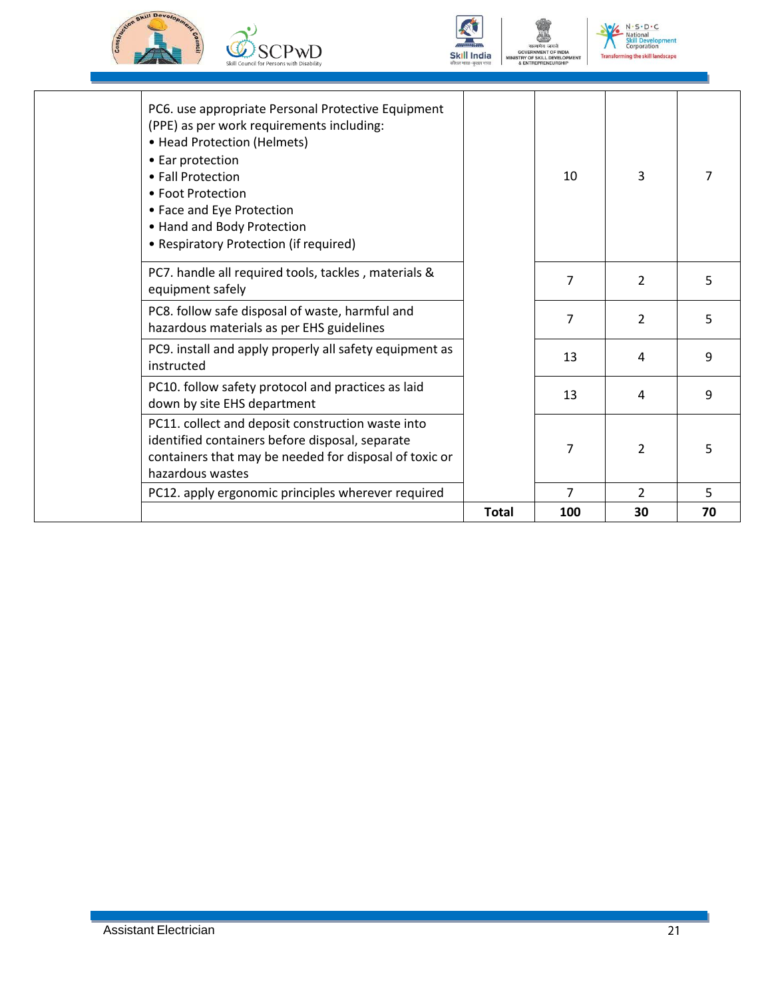







| hazardous wastes<br>PC12. apply ergonomic principles wherever required                                                                                                                                                                                                                            |                |                          |   |
|---------------------------------------------------------------------------------------------------------------------------------------------------------------------------------------------------------------------------------------------------------------------------------------------------|----------------|--------------------------|---|
|                                                                                                                                                                                                                                                                                                   | $\overline{7}$ | $\overline{2}$           | 5 |
| identified containers before disposal, separate<br>containers that may be needed for disposal of toxic or                                                                                                                                                                                         | 7              | $\mathcal{P}$            | 5 |
| PC10. follow safety protocol and practices as laid<br>down by site EHS department<br>PC11. collect and deposit construction waste into                                                                                                                                                            | 13             | 4                        | 9 |
| PC9. install and apply properly all safety equipment as<br>instructed                                                                                                                                                                                                                             | 13             | 4                        | 9 |
| PC8. follow safe disposal of waste, harmful and<br>hazardous materials as per EHS guidelines                                                                                                                                                                                                      | 7              | $\overline{2}$           | 5 |
| PC7. handle all required tools, tackles, materials &<br>equipment safely                                                                                                                                                                                                                          | $\overline{7}$ | $\overline{\mathcal{L}}$ | 5 |
| PC6. use appropriate Personal Protective Equipment<br>(PPE) as per work requirements including:<br>• Head Protection (Helmets)<br>• Ear protection<br>• Fall Protection<br>• Foot Protection<br>• Face and Eye Protection<br>• Hand and Body Protection<br>• Respiratory Protection (if required) | 10             | 3                        | 7 |